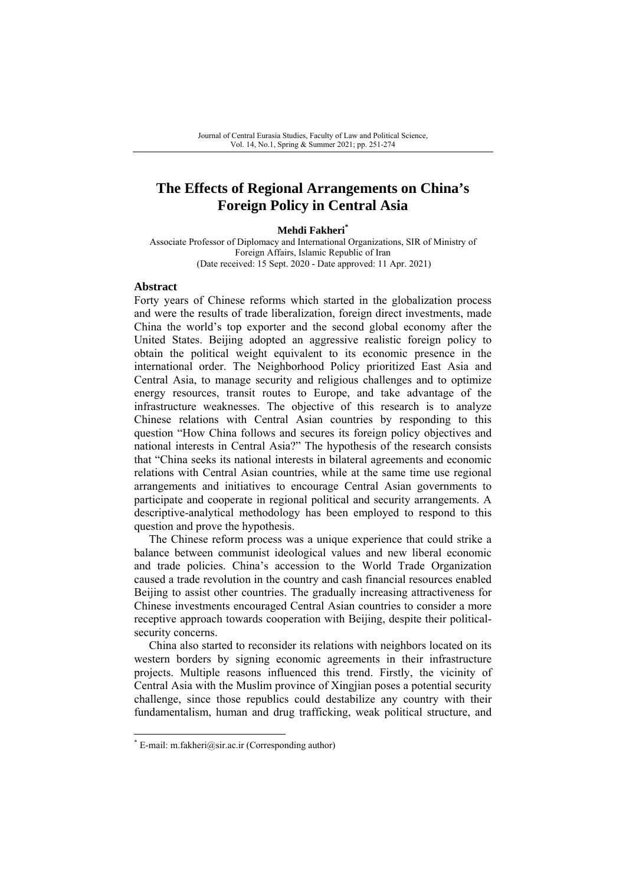# **The Effects of Regional Arrangements on China's Foreign Policy in Central Asia**

#### **Mehdi Fakheri\***

Associate Professor of Diplomacy and International Organizations, SIR of Ministry of Foreign Affairs, Islamic Republic of Iran (Date received: 15 Sept. 2020 - Date approved: 11 Apr. 2021)

#### **Abstract**

Forty years of Chinese reforms which started in the globalization process and were the results of trade liberalization, foreign direct investments, made China the world's top exporter and the second global economy after the United States. Beijing adopted an aggressive realistic foreign policy to obtain the political weight equivalent to its economic presence in the international order. The Neighborhood Policy prioritized East Asia and Central Asia, to manage security and religious challenges and to optimize energy resources, transit routes to Europe, and take advantage of the infrastructure weaknesses. The objective of this research is to analyze Chinese relations with Central Asian countries by responding to this question "How China follows and secures its foreign policy objectives and national interests in Central Asia?" The hypothesis of the research consists that "China seeks its national interests in bilateral agreements and economic relations with Central Asian countries, while at the same time use regional arrangements and initiatives to encourage Central Asian governments to participate and cooperate in regional political and security arrangements. A descriptive-analytical methodology has been employed to respond to this question and prove the hypothesis.

The Chinese reform process was a unique experience that could strike a balance between communist ideological values and new liberal economic and trade policies. China's accession to the World Trade Organization caused a trade revolution in the country and cash financial resources enabled Beijing to assist other countries. The gradually increasing attractiveness for Chinese investments encouraged Central Asian countries to consider a more receptive approach towards cooperation with Beijing, despite their politicalsecurity concerns.

China also started to reconsider its relations with neighbors located on its western borders by signing economic agreements in their infrastructure projects. Multiple reasons influenced this trend. Firstly, the vicinity of Central Asia with the Muslim province of Xingjian poses a potential security challenge, since those republics could destabilize any country with their fundamentalism, human and drug trafficking, weak political structure, and

<sup>\*</sup> E-mail: m.fakheri@sir.ac.ir (Corresponding author)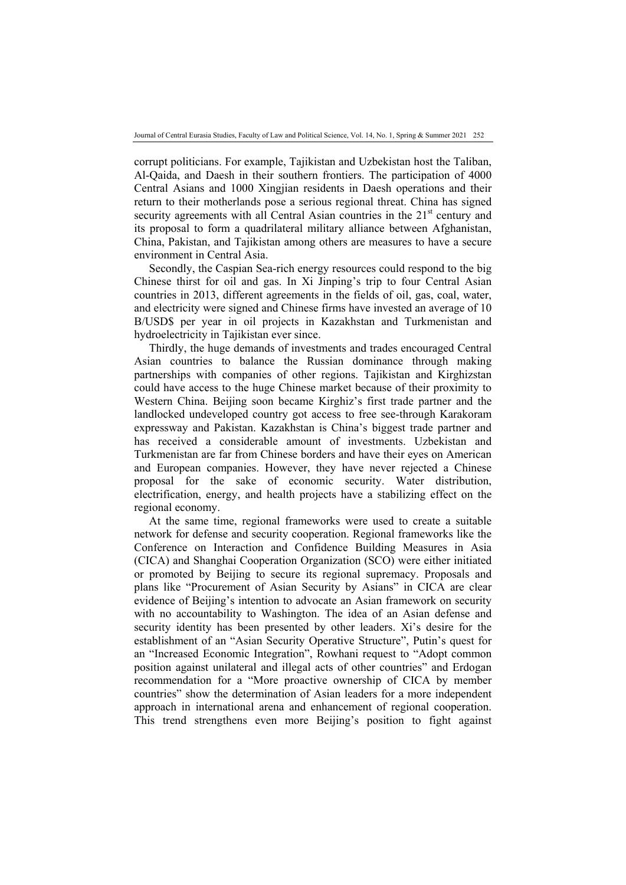corrupt politicians. For example, Tajikistan and Uzbekistan host the Taliban, Al-Qaida, and Daesh in their southern frontiers. The participation of 4000 Central Asians and 1000 Xingjian residents in Daesh operations and their return to their motherlands pose a serious regional threat. China has signed security agreements with all Central Asian countries in the  $21<sup>st</sup>$  century and its proposal to form a quadrilateral military alliance between Afghanistan, China, Pakistan, and Tajikistan among others are measures to have a secure environment in Central Asia.

Secondly, the Caspian Sea-rich energy resources could respond to the big Chinese thirst for oil and gas. In Xi Jinping's trip to four Central Asian countries in 2013, different agreements in the fields of oil, gas, coal, water, and electricity were signed and Chinese firms have invested an average of 10 B/USD\$ per year in oil projects in Kazakhstan and Turkmenistan and hydroelectricity in Tajikistan ever since.

Thirdly, the huge demands of investments and trades encouraged Central Asian countries to balance the Russian dominance through making partnerships with companies of other regions. Tajikistan and Kirghizstan could have access to the huge Chinese market because of their proximity to Western China. Beijing soon became Kirghiz's first trade partner and the landlocked undeveloped country got access to free see-through Karakoram expressway and Pakistan. Kazakhstan is China's biggest trade partner and has received a considerable amount of investments. Uzbekistan and Turkmenistan are far from Chinese borders and have their eyes on American and European companies. However, they have never rejected a Chinese proposal for the sake of economic security. Water distribution, electrification, energy, and health projects have a stabilizing effect on the regional economy.

At the same time, regional frameworks were used to create a suitable network for defense and security cooperation. Regional frameworks like the Conference on Interaction and Confidence Building Measures in Asia (CICA) and Shanghai Cooperation Organization (SCO) were either initiated or promoted by Beijing to secure its regional supremacy. Proposals and plans like "Procurement of Asian Security by Asians" in CICA are clear evidence of Beijing's intention to advocate an Asian framework on security with no accountability to Washington. The idea of an Asian defense and security identity has been presented by other leaders. Xi's desire for the establishment of an "Asian Security Operative Structure", Putin's quest for an "Increased Economic Integration", Rowhani request to "Adopt common position against unilateral and illegal acts of other countries" and Erdogan recommendation for a "More proactive ownership of CICA by member countries" show the determination of Asian leaders for a more independent approach in international arena and enhancement of regional cooperation. This trend strengthens even more Beijing's position to fight against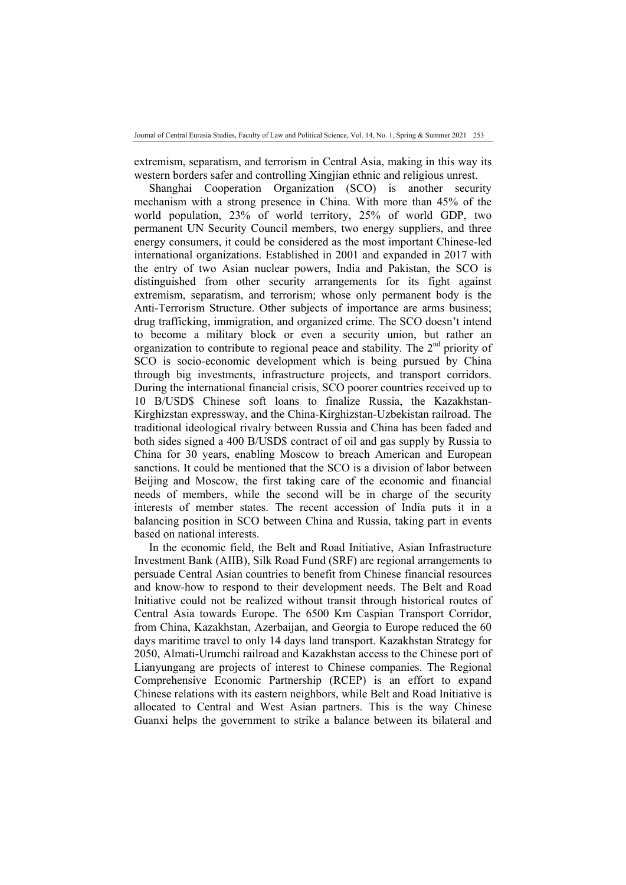extremism, separatism, and terrorism in Central Asia, making in this way its western borders safer and controlling Xingjian ethnic and religious unrest.

Shanghai Cooperation Organization (SCO) is another security mechanism with a strong presence in China. With more than 45% of the world population, 23% of world territory, 25% of world GDP, two permanent UN Security Council members, two energy suppliers, and three energy consumers, it could be considered as the most important Chinese-led international organizations. Established in 2001 and expanded in 2017 with the entry of two Asian nuclear powers, India and Pakistan, the SCO is distinguished from other security arrangements for its fight against extremism, separatism, and terrorism; whose only permanent body is the Anti-Terrorism Structure. Other subjects of importance are arms business; drug trafficking, immigration, and organized crime. The SCO doesn't intend to become a military block or even a security union, but rather an organization to contribute to regional peace and stability. The  $2<sup>nd</sup>$  priority of SCO is socio-economic development which is being pursued by China through big investments, infrastructure projects, and transport corridors. During the international financial crisis, SCO poorer countries received up to 10 B/USD\$ Chinese soft loans to finalize Russia, the Kazakhstan-Kirghizstan expressway, and the China-Kirghizstan-Uzbekistan railroad. The traditional ideological rivalry between Russia and China has been faded and both sides signed a 400 B/USD\$ contract of oil and gas supply by Russia to China for 30 years, enabling Moscow to breach American and European sanctions. It could be mentioned that the SCO is a division of labor between Beijing and Moscow, the first taking care of the economic and financial needs of members, while the second will be in charge of the security interests of member states. The recent accession of India puts it in a balancing position in SCO between China and Russia, taking part in events based on national interests.

In the economic field, the Belt and Road Initiative, Asian Infrastructure Investment Bank (AIIB), Silk Road Fund (SRF) are regional arrangements to persuade Central Asian countries to benefit from Chinese financial resources and know-how to respond to their development needs. The Belt and Road Initiative could not be realized without transit through historical routes of Central Asia towards Europe. The 6500 Km Caspian Transport Corridor, from China, Kazakhstan, Azerbaijan, and Georgia to Europe reduced the 60 days maritime travel to only 14 days land transport. Kazakhstan Strategy for 2050, Almati-Urumchi railroad and Kazakhstan access to the Chinese port of Lianyungang are projects of interest to Chinese companies. The Regional Comprehensive Economic Partnership (RCEP) is an effort to expand Chinese relations with its eastern neighbors, while Belt and Road Initiative is allocated to Central and West Asian partners. This is the way Chinese Guanxi helps the government to strike a balance between its bilateral and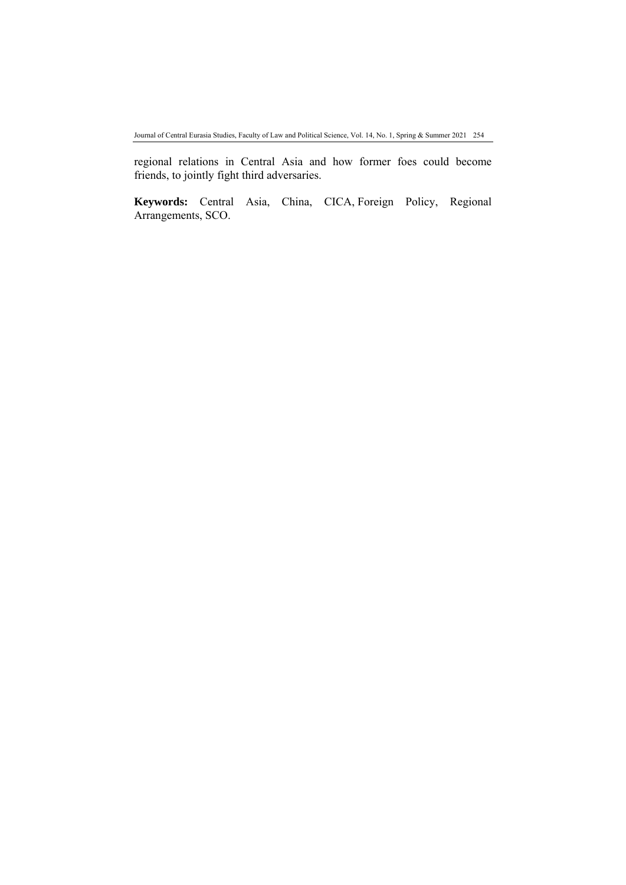regional relations in Central Asia and how former foes could become friends, to jointly fight third adversaries.

**Keywords:** Central Asia, China, CICA, Foreign Policy, Regional Arrangements, SCO.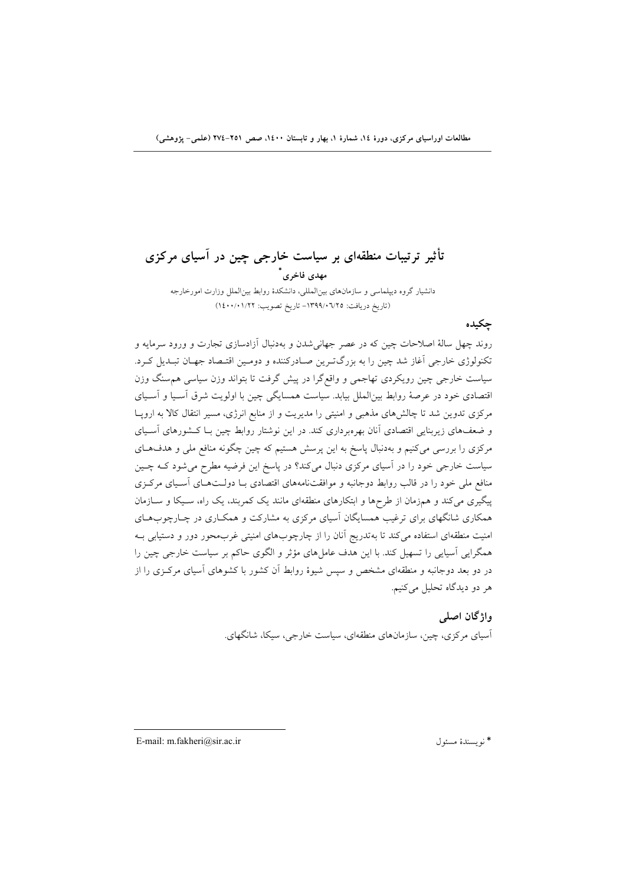**تأثير ترتيبات منطقهاي بر سياست خارجي چين در آسياي مركزي \* مهدي فاخري** دانشيار گروه ديپلماسي و سازمانهاي بينالمللي، دانشكدة روابط بينالملل وزارت امورخارجه (تاريخ دريافت: -1399/06/25 تاريخ تصويب: 1400/01/22)

**چكيده** 

روند چهل سالة اصلاحات چين كه در عصر جهانيشدن و بهدنبال آزادسازي تجارت و ورود سرمايه و تكنولوژي خارجي آغاز شد چين را به بزرگتـرين صـادركننده و دومـين اقتـصاد جهـان تبـديل كـرد. سياست خارجي چين رويكردي تهاجمي و واقعگرا در پيش گرفت تا بتواند وزن سياسي همسنگ وزن اقتصادي خود در عرصة روابط بينالملل بيابد. سياست همسايگي چين با اولويت شرق آسـيا و آسـياي مركزي تدوين شد تا چالشهاي مذهبي و امنيتي را مديريت و از منابع انرژي، مسير انتقال كالا به اروپـا و ضعفهاي زيربنايي اقتصادي آنان بهرهبرداري كند. در اين نوشتار روابط چين بـا كـشورهاي آسـياي مركزي را بررسي ميكنيم و بهدنبال پاسخ به اين پرسش هستيم كه چين چگونه منافع ملي و هدفهـاي سياست خارجي خود را در آسياي مركزي دنبال ميكند؟ در پاسخ اين فرضيه مطرح ميشود كـه چـين منافع ملي خود را در قالب روابط دوجانبه و موافقتنامههاي اقتصادي بـا دولـتهـاي آسـياي مركـزي پيگيري ميكند و همزمان از طرحها و ابتكارهاي منطقهاي مانند يك كمربند، يك راه، سـيكا و سـازمان همكاري شانگهاي براي ترغيب همسايگان آسياي مركزي به مشاركت و همكـاري در چـارچوبهـاي امنيت منطقهاي استفاده ميكند تا بهتدريج آنان را از چارچوبهاي امنيتي غربمحور دور و دستيابي بـه همگرايي آسيايي را تسهيل كند. با اين هدف عاملهاي مؤثر و الگوي حاكم بر سياست خارجي چين را در دو بعد دوجانبه و منطقهاي مشخص و سپس شيوة روابط آن كشور با كشوهاي آسياي مركـزي را از هر دو ديدگاه تحليل ميكنيم.

> **واژگان اصلي**  آسياي مركزي، چين، سازمانهاي منطقهاي، سياست خارجي، سيكا، شانگهاي.

E-mail: m.fakheri@sir.ac.ir مسئول نويسندة\*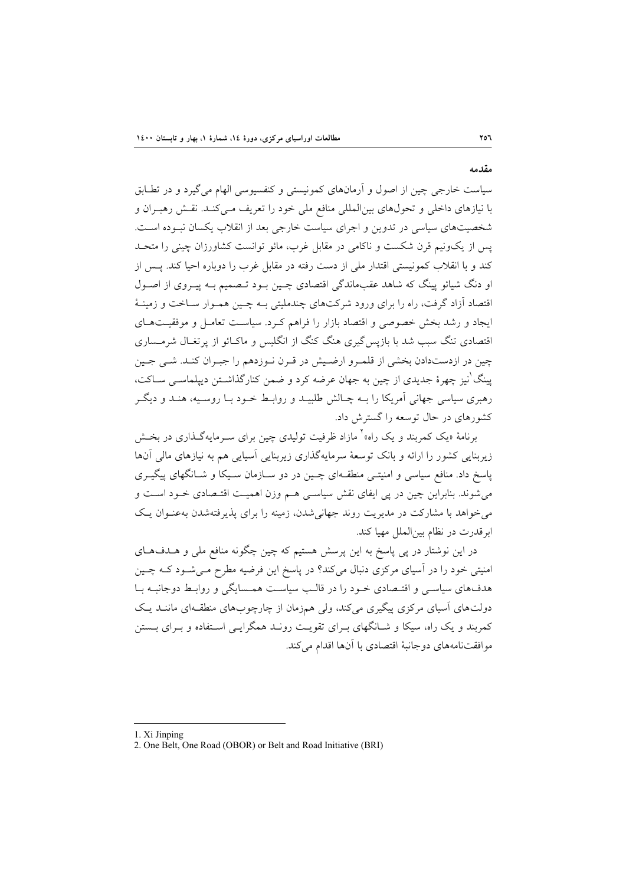سياست خارجي چين از اصول و آرمانهاي كمونيستي و كنفسيوسي الهام ميگيرد و در تطـابق با نيازهاي داخلي و تحولهاي بينالمللي منافع ملي خود را تعريف مـيكنـد. نقـش رهبـران و شخصيتهاي سياسي در تدوين و اجراي سياست خارجي بعد از انقلاب يكسان نبـوده اسـت. پس از يكونيم قرن شكست و ناكامي در مقابل غرب، مائو توانست كشاورزان چيني را متحـد كند و با انقلاب كمونيستي اقتدار ملي از دست رفته در مقابل غرب را دوباره احيا كند. پـس از او دنگ شيائو پينگ كه شاهد عقبماندگي اقتصادي چـين بـود تـصميم بـه پيـروي از اصـول اقتصاد آزاد گرفت، راه را براي ورود شركتهاي چندمليتي بـه چـين همـوار سـاخت و زمينـة ايجاد و رشد بخش خصوصي و اقتصاد بازار را فراهم كـرد. سياسـت تعامـل و موفقيـتهـاي اقتصادي تنگ سبب شد با بازپسگيري هنگ كنگ از انگليس و ماكـائو از پرتغـال شرمـساري چين در ازدستدادن بخشي از قلمـرو ارضـيش در قـرن نـوزدهم را جبـران كنـد. شـي جـين نيز چهرة جديدي از چين به جهان عرضه كرد و ضمن كنارگذاشـتن ديپلماسـي سـاكت، <sup>1</sup> پينگ رهبري سياسي جهاني آمريكا را بـه چـالش طلبيـد و روابـط خـود بـا روسـيه، هنـد و ديگـر كشورهاي در حال توسعه را گسترش داد.

برنامهٔ «يک کمربند و يک راه»<sup>۲</sup> مازاد ظرفيت توليدي چين براي سـرمايهگـذاري در بخـش زيربنايي كشور را ارائه و بانك توسعة سرمايهگذاري زيربنايي آسيايي هم به نيازهاي مالي آنها پاسخ داد. منافع سياسي و امنيتـي منطقـهاي چـين در دو سـازمان سـيكا و شـانگهاي پيگيـري ميشوند. بنابراين چين در پي ايفاي نقش سياسـي هـم وزن اهميـت اقتـصادي خـود اسـت و ميخواهد با مشاركت در مديريت روند جهانيشدن، زمينه را براي پذيرفتهشدن بهعنـوان يـك ابرقدرت در نظام بينالملل مهيا كند.

در اين نوشتار در پي پاسخ به اين پرسش هستيم كه چين چگونه منافع ملي و هـدفهـاي امنيتي خود را در آسياي مركزي دنبال ميكند؟ در پاسخ اين فرضيه مطرح مـيشـود كـه چـين هدفهاي سياسـي و اقتـصادي خـود را در قالـب سياسـت همـسايگي و روابـط دوجانبـه بـا دولتهاي آسياي مركزي پيگيري ميكند، ولي همزمان از چارچوبهاي منطقـهاي ماننـد يـك كمربند و يك راه، سيكا و شـانگهاي بـراي تقويـت رونـد همگرايـي اسـتفاده و بـراي بـستن موافقتنامههاي دوجانبة اقتصادي با آنها اقدام ميكند.

**مقدمه** 

<sup>1.</sup> Xi Jinping

<sup>2.</sup> One Belt, One Road (OBOR) or Belt and Road Initiative (BRI)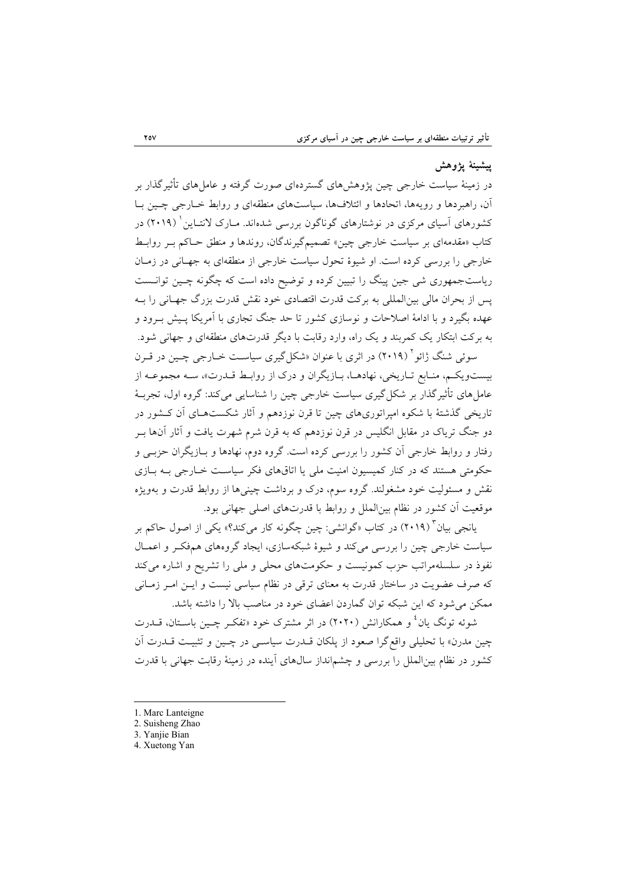### **پيشينة پژوهش**

در زمينة سياست خارجي چين پژوهشهاي گستردهاي صورت گرفته و عاملهاي تأثيرگذار بر آن، راهبردها و رويهها، اتحادها و ائتلافها، سياستهاي منطقهاي و روابط خـارجي چـين بـا کشورهاي آسياي مركزي در نوشتارهاي گوناگون بررسي شدهاند. مــارک لانتــاين (۲۰۱۹) در كتاب «مقدمهاي بر سياست خارجي چين» تصميمگيرندگان، روندها و منطق حـاكم بـر روابـط خارجي را بررسي كرده است. او شيوة تحول سياست خارجي از منطقهاي به جهـاني در زمـان رياستجمهوري شي جين پينگ را تبيين كرده و توضيح داده است كه چگونه چـين توانـست پس از بحران مالي بينالمللي به بركت قدرت اقتصادي خود نقش قدرت بزرگ جهـاني را بـه عهده بگيرد و با ادامة اصلاحات و نوسازي كشور تا حد جنگ تجاري با آمريكا پـيش بـرود و به بركت ابتكار يك كمربند و يك راه، وارد رقابت با ديگر قدرتهاي منطقهاي و جهاني شود.

سوئي شنگ ژائو <sup>۲</sup> (۲۰۱۹) در اثري با عنوان «شكل گيري سياسـت خــارجي چـين در قــرن بيستويكـم، منـابع تـاريخي، نهادهـا، بـازيگران و درك از روابـط قـدرت»، سـه مجموعـه از عامل هاي تأثيرگذار بر شكل گيري سياست خارجي چين را شناسايي ميكند: گروه اول، تجربـهٔ تاريخي گذشتة با شكوه امپراتوريهاي چين تا قرن نوزدهم و آثار شكستهـاي آن كـشور در دو جنگ ترياك در مقابل انگليس در قرن نوزدهم كه به قرن شرم شهرت يافت و آثار آنها بـر رفتار و روابط خارجي آن كشور را بررسي كرده است. گروه دوم، نهادها و بـازيگران حزبـي و حكومتي هستند كه در كنار كميسيون امنيت ملي يا اتاقهاي فكر سياسـت خـارجي بـه بـازي نقش و مسئوليت خود مشغولند. گروه سوم، درك و برداشت چينيها از روابط قدرت و بهويژه موقعيت آن كشور در نظام بينالملل و روابط با قدرتهاي اصلي جهاني بود.

3 يانجي بيان (2019) در كتاب «گوانشي: چين چگونه كار ميكند؟» يكي از اصول حاكم بر سياست خارجي چين را بررسي ميكند و شيوة شبكهسازي، ايجاد گروههاي همفكـر و اعمـال نفوذ در سلسلهمراتب حزب كمونيست و حكومتهاي محلي و ملي را تشريح و اشاره ميكند كه صرف عضويت در ساختار قدرت به معناي ترقي در نظام سياسي نيست و ايـن امـر زمـاني ممكن ميشود كه اين شبكه توان گماردن اعضاي خود در مناصب بالا را داشته باشد.

شوئه تونگ يان ٔ و همكارانش (۲۰۲۰) در اثر مشترک خود «تفکـر چـين باسـتان، قــدرت چين مدرن» با تحليلي واقعگرا صعود از پلكان قـدرت سياسـي در چـين و تثبيـت قـدرت آن كشور در نظام بينالملل را بررسي و چشمانداز سالهاي آينده در زمينة رقابت جهاني با قدرت

1. Marc Lanteigne

- 2. Suisheng Zhao
- 3. Yanjie Bian
- 4. Xuetong Yan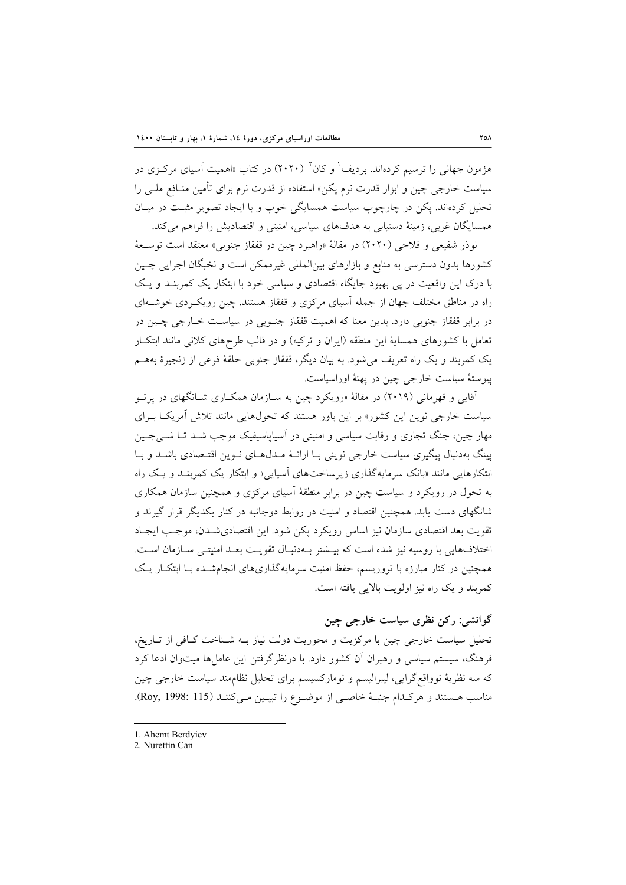هژمون جهاني را ترسيم كردهاند. برديف ٰ و كان ` (۲۰۲۰) در كتاب «اهميت آسياي مركـزي در سياست خارجي چين و ابزار قدرت نرم پكن» استفاده از قدرت نرم براي تأمين منـافع ملـي را تحليل كردهاند. پكن در چارچوب سياست همسايگي خوب و با ايجاد تصوير مثبـت در ميـان همسايگان غربي، زمينة دستيابي به هدفهاي سياسي، امنيتي و اقتصاديش را فراهم ميكند.

نوذر شفيعي و فلاحي (2020) در مقالة «راهبرد چين در قفقاز جنوبي» معتقد است توسـعة كشورها بدون دسترسي به منابع و بازارهاي بينالمللي غيرممكن است و نخبگان اجرايي چـين با درك اين واقعيت در پي بهبود جايگاه اقتصادي و سياسي خود با ابتكار يك كمربنـد و يـك راه در مناطق مختلف جهان از جمله آسياي مركزي و قفقاز هستند. چين رويكـردي خوشـهاي در برابر قفقاز جنوبي دارد. بدين معنا كه اهميت قفقاز جنـوبي در سياسـت خـارجي چـين در تعامل با كشورهاي همساية اين منطقه (ايران و تركيه) و در قالب طرحهاي كلاني مانند ابتكـار يك كمربند و يك راه تعريف ميشود. به بيان ديگر، قفقاز جنوبي حلقة فرعي از زنجيرة بههـم پيوستة سياست خارجي چين در پهنة اوراسياست.

آقايي و قهرماني (2019) در مقالة «رويكرد چين به سـازمان همكـاري شـانگهاي در پرتـو سياست خارجي نوين اين كشور» بر اين باور هستند كه تحولهايي مانند تلاش آمريكـا بـراي مهار چين، جنگ تجاري و رقابت سياسي و امنيتي در آسياپاسيفيك موجب شـد تـا شـيجـين پينگ بهدنبال پيگيري سياست خارجي نويني بـا ارائـة مـدلهـاي نـوين اقتـصادي باشـد و بـا ابتكارهايي مانند «بانك سرمايهگذاري زيرساختهاي آسيايي» و ابتكار يك كمربنـد و يـك راه به تحول در رويكرد و سياست چين در برابر منطقة آسياي مركزي و همچنين سازمان همكاري شانگهاي دست يابد. همچنين اقتصاد و امنيت در روابط دوجانبه در كنار يكديگر قرار گيرند و تقويت بعد اقتصادي سازمان نيز اساس رويكرد پكن شود. اين اقتصاديشـدن، موجـب ايجـاد اختلافهايي با روسيه نيز شده است كه بيـشتر بـهدنبـال تقويـت بعـد امنيتـي سـازمان اسـت. همچنين در كنار مبارزه با تروريسم، حفظ امنيت سرمايهگذاريهاي انجامشـده بـا ابتكـار يـك كمربند و يك راه نيز اولويت بالايي يافته است.

# **گوانشي: ركن نظري سياست خارجي چين**

تحليل سياست خارجي چين با مركزيت و محوريت دولت نياز بـه شـناخت كـافي از تـاريخ، فرهنگ، سيستم سياسي و رهبران آن كشور دارد. با درنظرگرفتن اين عاملها ميتوان ادعا كرد كه سه نظرية نوواقعگرايي، ليبراليسم و نوماركسيسم براي تحليل نظاممند سياست خارجي چين مناسب هـستند و هركـدام جنبـة خاصـي از موضـوع را تبيـين مـيكننـد (115 1998: ,Roy(.

<sup>1.</sup> Ahemt Berdyiev

<sup>2.</sup> Nurettin Can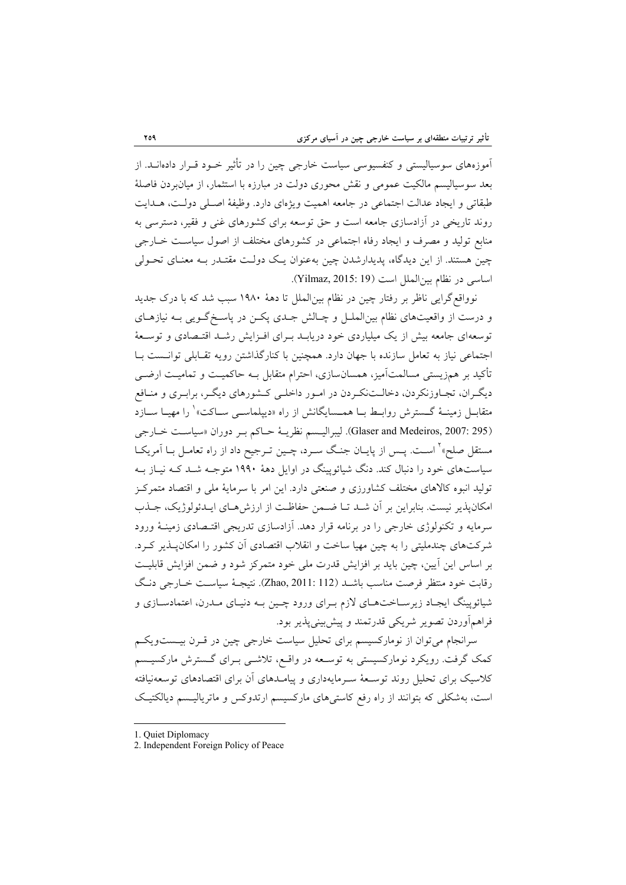آموزههاي سوسياليستي و كنفسيوسي سياست خارجي چين را در تأثير خـود قـرار دادهانـد. از بعد سوسياليسم مالكيت عمومي و نقش محوري دولت در مبارزه با استثمار، از ميانبردن فاصلة طبقاتي و ايجاد عدالت اجتماعي در جامعه اهميت ويژهاي دارد. وظيفة اصـلي دولـت، هـدايت روند تاريخي در آزادسازي جامعه است و حق توسعه براي كشورهاي غني و فقير، دسترسي به منابع توليد و مصرف و ايجاد رفاه اجتماعي در كشورهاي مختلف از اصول سياسـت خـارجي چين هستند. از اين ديدگاه، پديدارشدن چين بهعنوان يـك دولـت مقتـدر بـه معنـاي تحـولي اساسي در نظام بينالملل است (19 2015: ,Yilmaz(.

نوواقعگرايي ناظر بر رفتار چين در نظام بينالملل تا دهة 1980 سبب شد كه با درك جديد و درست از واقعيتهاي نظام بينالملـل و چـالش جـدي پكـن در پاسـخگـويي بـه نيازهـاي توسعهاي جامعه بيش از يك ميلياردي خود دريابـد بـراي افـزايش رشـد اقتـصادي و توسـعة اجتماعي نياز به تعامل سازنده با جهان دارد. همچنين با كنارگذاشتن رويه تقـابلي توانـست بـا تأكيد بر همزيستي مسالمتآميز، همسانسازي، احترام متقابل بـه حاكميـت و تماميـت ارضـي ديگـران، تجـاوزنكردن، دخالـتنكـردن در امـور داخلـي كـشورهاي ديگـر، برابـري و منـافع متقابــل زمينــهٔ گــسترش روابــط بــا همــسايگانش از راه «ديپلماســي ســاكت» ٰ را مهيــا ســازد (295 :Glaser and Medeiros, 2007). ليبراليـسم نظريــة حـاكم بـر دوران «سياسـت خـارجي مستقل صلح»<sup>۲</sup> اسـت. پـس از پايــان جنـگ سـرد، چــين تـرجيح داد از راه تعامــل بــا آمريكــا سياستهاي خود را دنبال كند. دنگ شيائوپينگ در اوايل دهة 1990 متوجـه شـد كـه نيـاز بـه توليد انبوه كالاهاي مختلف كشاورزي و صنعتي دارد. اين امر با سرماية ملي و اقتصاد متمركـز امكانپذير نيست. بنابراين بر آن شـد تـا ضـمن حفاظـت از ارزشهـاي ايـدئولوژيك، جـذب سرمايه و تكنولوژي خارجي را در برنامه قرار دهد. آزادسازي تدريجي اقتـصادي زمينـة ورود شركتهاي چندمليتي را به چين مهيا ساخت و انقلاب اقتصادي آن كشور را امكانپـذير كـرد. بر اساس اين آيين، چين بايد بر افزايش قدرت ملي خود متمركز شود و ضمن افزايش قابليـت رقابت خود منتظر فرصت مناسب باشـد (112 2011: ,Zhao(. نتيجـة سياسـت خـارجي دنـگ شيائوپينگ ايجـاد زيرسـاختهـاي لازم بـراي ورود چـين بـه دنيـاي مـدرن، اعتمادسـازي و فراهمآوردن تصوير شريكي قدرتمند و پيشبينيپذير بود.

سرانجام ميتوان از نوماركسيسم براي تحليل سياست خارجي چين در قـرن بيـستويكـم كمك گرفت. رويكرد نوماركسيستي به توسـعه در واقـع، تلاشـي بـراي گـسترش ماركسيـسم كلاسيك براي تحليل روند توسـعة سـرمايهداري و پيامـدهاي آن براي اقتصادهاي توسعهنيافته است، بهشكلي كه بتوانند از راه رفع كاستيهاي ماركسيسم ارتدوكس و ماترياليـسم ديالكتيـك

<sup>1.</sup> Quiet Diplomacy

<sup>2.</sup> Independent Foreign Policy of Peace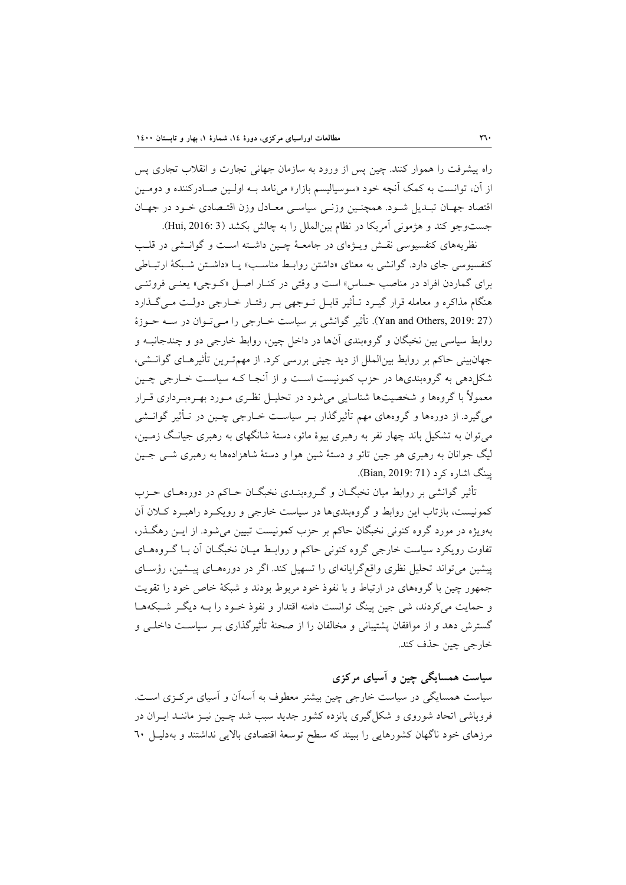راه پيشرفت را هموار كنند. چين پس از ورود به سازمان جهاني تجارت و انقلاب تجاري پس از آن، توانست به كمك آنچه خود «سوسياليسم بازار» مينامد بـه اولـين صـادركننده و دومـين اقتصاد جهـان تبـديل شـود. همچنـين وزنـي سياسـي معـادل وزن اقتـصادي خـود در جهـان جستوجو كند و هژموني آمريكا در نظام بينالملل را به چالش بكشد (3 2016: ,Hui(.

نظريههاي كنفسيوسي نقـش ويـژهاي در جامعـة چـين داشـته اسـت و گوانـشي در قلـب كنفسيوسي جاي دارد. گوانشي به معناي «داشتن روابـط مناسـب» يـا «داشـتن شـبكة ارتبـاطي براي گماردن افراد در مناصب حساس» است و وقتي در كنـار اصـل «كـوچي» يعنـي فروتنـي هنگام مذاكره و معامله قرار گيـرد تـأثير قابـل تـوجهي بـر رفتـار خـارجي دولـت مـيگـذارد (27 :Yan and Others, 2019). تأثير گوانشي بر سياست خـارجي را مـيتـوان در سـه حـوزة روابط سياسي بين نخبگان و گروهبندي آنها در داخل چين، روابط خارجي دو و چندجانبـه و جهانبيني حاكم بر روابط بينالملل از ديد چيني بررسي كرد. از مهمتـرين تأثيرهـاي گوانـشي، شكلدهي به گروهبنديها در حزب كمونيست اسـت و از آنجـا كـه سياسـت خـارجي چـين معمولاً با گروهها و شخصيتها شناسايي ميشود در تحليـل نظـري مـورد بهـرهبـرداري قـرار ميگيرد. از دورهها و گروههاي مهم تأثيرگذار بـر سياسـت خـارجي چـين در تـأثير گوانـشي ميتوان به تشكيل باند چهار نفر به رهبري بيوة مائو، دستة شانگهاي به رهبري جيانـگ زمـين، ليگ جوانان به رهبري هو جين تائو و دستة شين هوا و دستة شاهزادهها به رهبري شـي جـين پينگ اشاره كرد (8ian, 2019: 71).

تأثير گوانشي بر روابط ميان نخبگـان و گـروهبنـدي نخبگـان حـاكم در دورههـاي حـزب كمونيست، بازتاب اين روابط و گروهبنديها در سياست خارجي و رويكـرد راهبـرد كـلان آن بهويژه در مورد گروه كنوني نخبگان حاكم بر حزب كمونيست تبيين ميشود. از ايـن رهگـذر، تفاوت رويكرد سياست خارجي گروه كنوني حاكم و روابـط ميـان نخبگـان آن بـا گـروههـاي پيشين ميتواند تحليل نظري واقعگرايانهاي را تسهيل كند. اگر در دورههـاي پيـشين، رؤسـاي جمهور چين با گروههاي در ارتباط و با نفوذ خود مربوط بودند و شبكة خاص خود را تقويت و حمايت ميكردند، شي جين پينگ توانست دامنه اقتدار و نفوذ خـود را بـه ديگـر شـبكههـا گسترش دهد و از موافقان پشتيباني و مخالفان را از صحنة تأثيرگذاري بـر سياسـت داخلـي و خارجي چين حذف كند.

**سياست همسايگي چين و آسياي مركزي**  سياست همسايگي در سياست خارجي چين بيشتر معطوف به آسهآن و آسياي مركـزي اسـت. فروپاشي اتحاد شوروي و شكلگيري پانزده كشور جديد سبب شد چـين نيـز ماننـد ايـران در مرزهاي خود ناگهان كشورهايي را ببيند كه سطح توسعة اقتصادي بالايي نداشتند و بهدليـل 60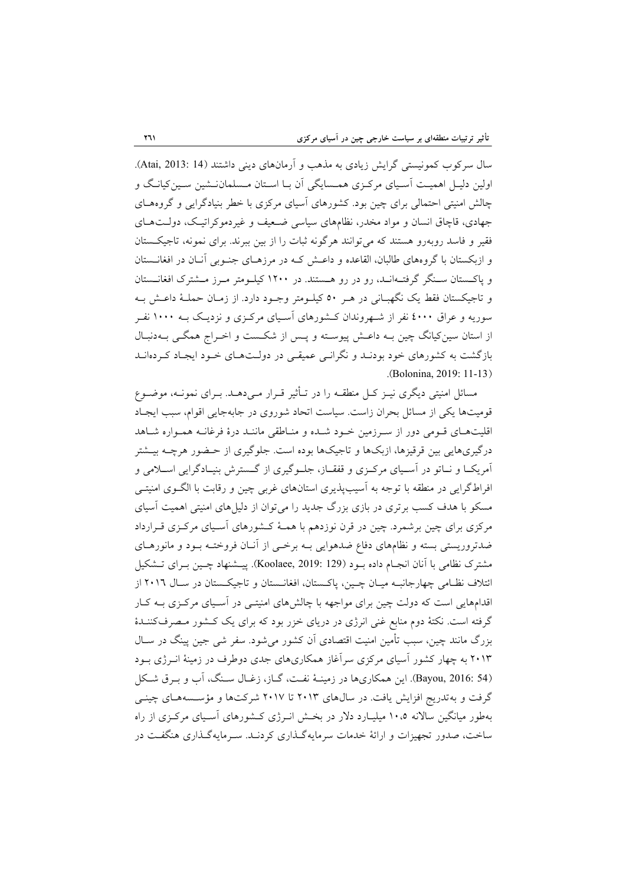سال سركوب كمونيستي گرايش زيادي به مذهب و آرمانهاي ديني داشتند (14 2013: ,Atai(. اولين دليـل اهميـت آسـياي مركـزي همـسايگي آن بـا اسـتان مـسلماننـشين سـينكيانـگ و چالش امنيتي احتمالي براي چين بود. كشورهاي آسياي مركزي با خطر بنيادگرايي و گروههـاي جهادي، قاچاق انسان و مواد مخدر، نظامهاي سياسي ضـعيف و غيردموكراتيـك، دولـتهـاي فقير و فاسد روبهرو هستند كه ميتوانند هرگونه ثبات را از بين ببرند. براي نمونه، تاجيكـستان و ازبكستان با گروههاي طالبان، القاعده و داعـش كـه در مرزهـاي جنـوبي آنـان در افغانـستان و پاكـستان سـنگر گرفتـهانـد، رو در رو هـستند. در 1200 كيلـومتر مـرز مـشترك افغانـستان و تاجيكستان فقط يك نگهبـاني در هـر 50 كيلـومتر وجـود دارد. از زمـان حملـة داعـش بـه سوريه و عراق 4000 نفر از شـهروندان كـشورهاي آسـياي مركـزي و نزديـك بـه 1000 نفـر از استان سينكيانگ چين بـه داعـش پيوسـته و پـس از شكـست و اخـراج همگـي بـهدنبـال بازگشت به كشورهاي خود بودنـد و نگرانـي عميقـي در دولـتهـاي خـود ايجـاد كـردهانـد .(Bolonina, 2019: 11-13)

مسائل امنيتي ديگري نيـز كـل منطقـه را در تـأثير قـرار مـيدهـد. بـراي نمونـه، موضـوع قوميتها يكي از مسائل بحران زاست. سياست اتحاد شوروي در جابهجايي اقوام، سبب ايجـاد اقليتهـاي قـومي دور از سـرزمين خـود شـده و منـاطقي ماننـد درة فرغانـه همـواره شـاهد درگيريهايي بين قرقيزها، ازبكها و تاجيكها بوده است. جلوگيري از حـضور هرچـه بيـشتر آمريكــا و نــاتو در آســياي مركــزي و قفقــاز، جلــوگيري از گــسترش بنيــادگرايي اســلامي و افراطگرايي در منطقه با توجه به آسيبپذيري استانهاي غربي چين و رقابت با الگـوي امنيتـي مسكو با هدف كسب برتري در بازي بزرگ جديد را ميتوان از دليلهاي امنيتي اهميت آسياي مركزي براي چين برشمرد. چين در قرن نوزدهم با همـة كـشورهاي آسـياي مركـزي قـرارداد ضدتروريستي بسته و نظامهاي دفاع ضدهوايي بـه برخـي از آنـان فروختـه بـود و مانورهـاي مشترك نظامي با آنان انجـام داده بـود (129 2019: ,Koolaee(. پيـشنهاد چـين بـراي تـشكيل ائتلاف نظـامي چهارجانبـه ميـان چـين، پاكـستان، افغانـستان و تاجيكـستان در سـال 2016 از اقدامهايي است كه دولت چين براي مواجهه با چالشهاي امنيتـي در آسـياي مركـزي بـه كـار گرفته است. نكتة دوم منابع غني انرژي در درياي خزر بود كه براي يك كـشور مـصرفكننـدة بزرگ مانند چين، سبب تأمين امنيت اقتصادي آن كشور ميشود. سفر شي جين پينگ در سـال 2013 به چهار كشور آسياي مركزي سرآغاز همكاريهاي جدي دوطرف در زمينة انـرژي بـود (54 2016: ,Bayou(. اين همكاريها در زمينـة نفـت، گـاز، زغـال سـنگ، آب و بـرق شـكل گرفت و بهتدريج افزايش يافت. در سالهاي 2013 تا 2017 شركتها و مؤسـسههـاي چينـي بهطور ميانگين سالانه 10،5 ميليـارد دلار در بخـش انـرژي كـشورهاي آسـياي مركـزي از راه ساخت، صدور تجهيزات و ارائة خدمات سرمايهگـذاري كردنـد. سـرمايهگـذاري هنگفـت در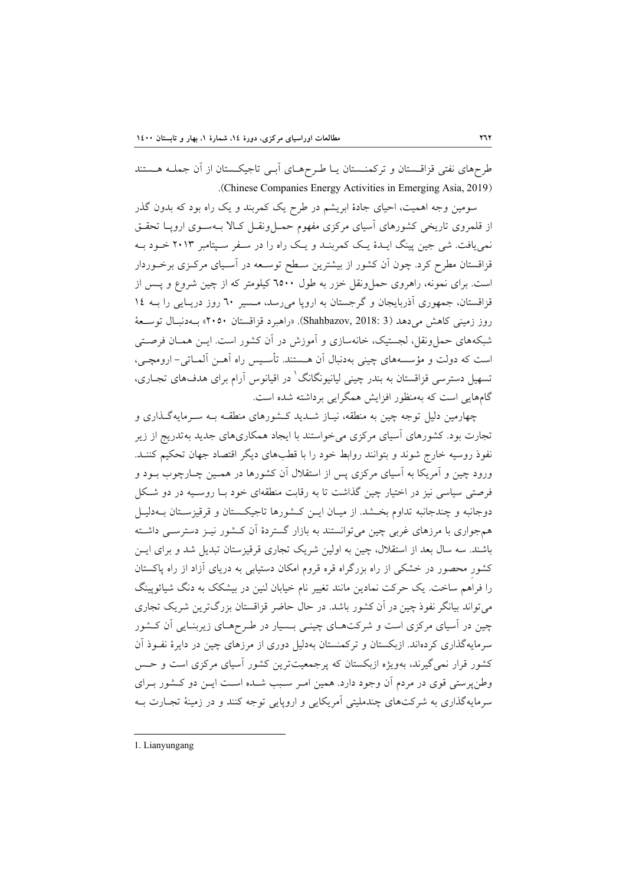طرحهاي نفتي قزاقـستان و تركمنـستان يـا طـرحهـاي آبـي تاجيكـستان از آن جملـه هـستند .(Chinese Companies Energy Activities in Emerging Asia, 2019)

سومين وجه اهميت، احياي جادة ابريشم در طرح يك كمربند و يك راه بود كه بدون گذر از قلمروي تاريخي كشورهاي آسياي مركزي مفهوم حمـلونقـل كـالا بـهسـوي اروپـا تحقـق نمييافت. شي جين پينگ ايـدة يـك كمربنـد و يـك راه را در سـفر سـپتامبر 2013 خـود بـه قزاقستان مطرح كرد. چون آن كشور از بيشترين سـطح توسـعه در آسـياي مركـزي برخـوردار است. براي نمونه، راهروي حملونقل خزر به طول 6500 كيلومتر كه از چين شروع و پـس از قزاقستان، جمهوري آذربايجان و گرجستان به اروپا ميرسد، مـسير 60 روز دريـايي را بـه 14 روز زميني كاهش ميدهد (3 2018: ,Shahbazov(.» راهبرد قزاقستان 2050» بـهدنبـال توسـعة شبكههاي حملونقل، لجستيك، خانهسازي و آموزش در آن كشور است. ايـن همـان فرصـتي است كه دولت و مؤسسههاي چيني بهدنبال آن هـستند. تأسـيس راه آهـن آلمـاتي- ارومچـي، تسهيل دسترسي قزاقستان به بندر چيني ليانيونگانگ<sup>'</sup> در اقيانوس آرام براي هدفهاي تجـاري، گامهايي است كه بهمنظور افزايش همگرايي برداشته شده است.

چهارمين دليل توجه چين به منطقه، نيـاز شـديد كـشورهاي منطقـه بـه سـرمايهگـذاري و تجارت بود. كشورهاي آسياي مركزي ميخواستند با ايجاد همكاريهاي جديد بهتدريج از زير نفوذ روسيه خارج شوند و بتوانند روابط خود را با قطبهاي ديگر اقتصاد جهان تحكيم كننـد. ورود چين و آمريكا به آسياي مركزي پس از استقلال آن كشورها در همـين چـارچوب بـود و فرصتي سياسي نيز در اختيار چين گذاشت تا به رقابت منطقهاي خود بـا روسـيه در دو شـكل دوجانبه و چندجانبه تداوم بخـشد. از ميـان ايـن كـشورها تاجيكـستان و قرقيزسـتان بـهدليـل همجواري با مرزهاي غربي چين ميتوانستند به بازار گستردة آن كـشور نيـز دسترسـي داشـته باشند. سه سال بعد از استقلال، چين به اولين شريك تجاري قرقيزستان تبديل شد و براي ايـن كشورِ محصور در خشكي از راه بزرگراه قره قروم امكان دستيابي به درياي آزاد از راه پاكستان را فراهم ساخت. يك حركت نمادين مانند تغيير نام خيابان لنين در بيشكك به دنگ شيائوپينگ ميتواند بيانگر نفوذ چين در آن كشور باشد. در حال حاضر قزاقستان بزرگترين شريك تجاري چين در آسياي مركزي است و شركتهـاي چينـي بـسيار در طـرحهـاي زيربنـايي آن كـشور سرمايهگذاري كردهاند. ازبكستان و تركمنستان بهدليل دوري از مرزهاي چين در دايرة نفـوذ آن كشور قرار نميگيرند، بهويژه ازبكستان كه پرجمعيتترين كشور آسياي مركزي است و حـس وطنپرستي قوي در مردم آن وجود دارد. همين امـر سـبب شـده اسـت ايـن دو كـشور بـراي سرمايهگذاري به شركتهاي چندمليتي آمريكايي و اروپايي توجه كنند و در زمينة تجـارت بـه

1. Lianyungang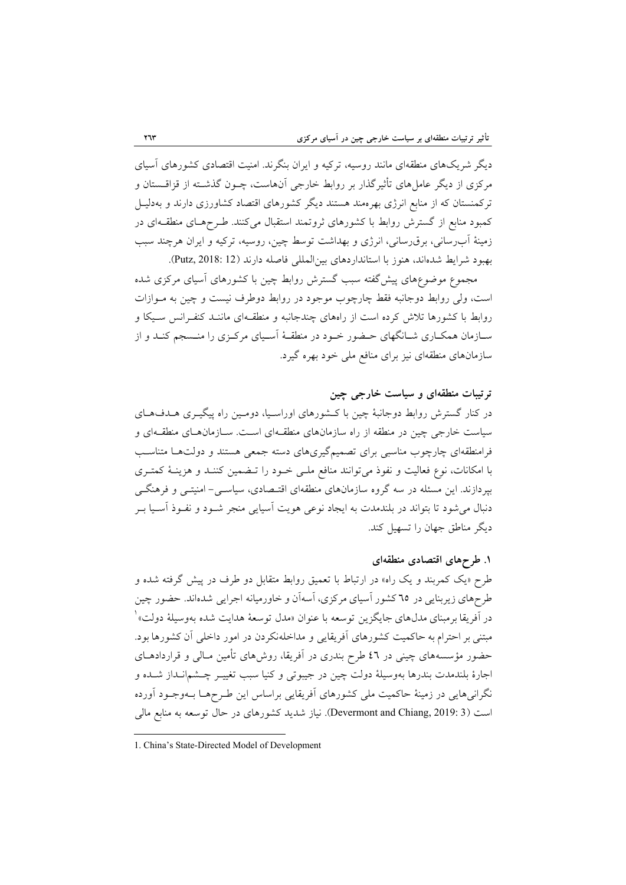ديگر شريكهاي منطقهاي مانند روسيه، تركيه و ايران بنگرند. امنيت اقتصادي كشورهاي آسياي مركزي از ديگر عاملهاي تأثيرگذار بر روابط خارجي آنهاست، چـون گذشـته از قزاقـستان و تركمنستان كه از منابع انرژي بهرهمند هستند ديگر كشورهاي اقتصاد كشاورزي دارند و بهدليـل كمبود منابع از گسترش روابط با كشورهاي ثروتمند استقبال ميكنند. طـرحهـاي منطقـهاي در زمينة آبرساني، برقرساني، انرژي و بهداشت توسط چين، روسيه، تركيه و ايران هرچند سبب بهبود شرايط شدهاند، هنوز با استانداردهاي بينالمللي فاصله دارند (12 2018: ,Putz(.

مجموع موضوعهاي پيشگفته سبب گسترش روابط چين با كشورهاي آسياي مركزي شده است، ولي روابط دوجانبه فقط چارچوب موجود در روابط دوطرف نيست و چين به مـوازات روابط با كشورها تلاش كرده است از راههاي چندجانبه و منطقـهاي ماننـد كنفـرانس سـيكا و سـازمان همكـاري شـانگهاي حـضور خـود در منطقـة آسـياي مركـزي را منـسجم كنـد و از سازمانهاي منطقهاي نيز براي منافع ملي خود بهره گيرد.

# **ترتيبات منطقهاي و سياست خارجي چين**

در كنار گسترش روابط دوجانبة چين با كـشورهاي اوراسـيا، دومـين راه پيگيـري هـدفهـاي سياست خارجي چين در منطقه از راه سازمانهاي منطقـهاي اسـت. سـازمانهـاي منطقـهاي و فرامنطقهاي چارچوب مناسبي براي تصميمگيريهاي دسته جمعي هستند و دولتهـا متناسـب با امكانات، نوع فعاليت و نفوذ ميتوانند منافع ملـي خـود را تـضمين كننـد و هزينـة كمتـري بپردازند. اين مسئله در سه گروه سازمانهاي منطقهاي اقتـصادي، سياسـي- امنيتـي و فرهنگـي دنبال ميشود تا بتواند در بلندمدت به ايجاد نوعي هويت آسيايي منجر شـود و نفـوذ آسـيا بـر ديگر مناطق جهان را تسهيل كند.

### **.1 طرحهاي اقتصادي منطقهاي**

طرح «يك كمربند و يك راه» در ارتباط با تعميق روابط متقابل دو طرف در پيش گرفته شده و طرحهاي زيربنايي در 65 كشور آسياي مركزي، آسهآن و خاورميانه اجرايي شدهاند. حضور چين در آفريقا برمبنای مدل،ای جايگزين توسعه با عنوان «مدل توسعهٔ هدايت شده بهوسيلهٔ دولت» ٰ مبتني بر احترام به حاكميت كشورهاي آفريقايي و مداخلهنكردن در امور داخلي آن كشورها بود. حضور مؤسسههاي چيني در 46 طرح بندري در آفريقا، روشهاي تأمين مـالي و قراردادهـاي اجارة بلندمدت بندرها بهوسيلة دولت چين در جيبوتي و كنيا سبب تغييـر چـشمانـداز شـده و نگرانيهايي در زمينة حاكميت ملي كشورهاي آفريقايي براساس اين طـرحهـا بـهوجـود آورده است (3 :Devermont and Chiang, 2019). نياز شديد كشورهاي در حال توسعه به منابع مالي

<sup>1.</sup> China's State-Directed Model of Development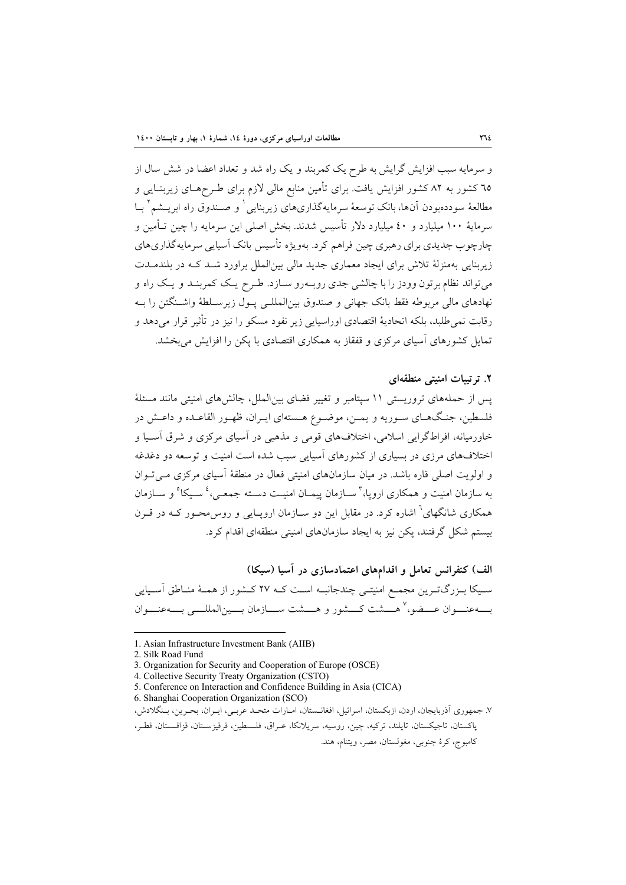و سرمايه سبب افزايش گرايش به طرح يك كمربند و يك راه شد و تعداد اعضا در شش سال از 65 كشور به 82 كشور افزايش يافت. براي تأمين منابع مالي لازم براي طـرحهـاي زيربنـايي و مطالعهٔ سوددهبودن آنها، بانک توسعهٔ سرمايهگذاريهاي زيربنايي<sup>\</sup> و صـندوق راه ابريــشم` بــا سرماية 100 ميليارد و 40 ميليارد دلار تأسيس شدند. بخش اصلي اين سرمايه را چين تـأمين و چارچوب جديدي براي رهبري چين فراهم كرد. بهويژه تأسيس بانك آسيايي سرمايهگذاريهاي زيربنايي بهمنزلة تلاش براي ايجاد معماري جديد مالي بينالملل براورد شـد كـه در بلندمـدت ميتواند نظام برتون وودز را با چالشي جدي روبـهرو سـازد. طـرح يـك كمربنـد و يـك راه و نهادهاي مالي مربوطه فقط بانك جهاني و صندوق بينالمللـي پـول زيرسـلطة واشـنگتن را بـه رقابت نميطلبد، بلكه اتحادية اقتصادي اوراسيايي زير نفود مسكو را نيز در تأثير قرار ميدهد و تمايل كشورهاي آسياي مركزي و قفقاز به همكاري اقتصادي با پكن را افزايش ميبخشد.

### **.2 ترتيبات امنيتي منطقهاي**

پس از حملههاي تروريستي 11 سپتامبر و تغيير فضاي بينالملل، چالشهاي امنيتي مانند مسئلة فلسطين، جنـگهـاي سـوريه و يمـن، موضـوع هـستهاي ايـران، ظهـور القاعـده و داعـش در خاورميانه، افراطگرايي اسلامي، اختلافهاي قومي و مذهبي در آسياي مركزي و شرق آسـيا و اختلافهاي مرزي در بسياري از كشورهاي آسيايي سبب شده است امنيت و توسعه دو دغدغه و اولويت اصلي قاره باشد. در ميان سازمانهاي امنيتي فعال در منطقة آسياي مركزي مـيتـوان به سازمان امنيت و همكارى اروپا،<sup>۳</sup> ســازمان پيمــان امنيــت دســته جمعــي،<sup>، پ</sup> سـيكا<sup>ه</sup> و ســازمان همكاري شانگهاي<sup>٦</sup> اشاره كرد. در مقابل اين دو سـازمان اروپـايي و روس محـور كـه در قـرن بيستم شكل گرفتند، پكن نيز به ايجاد سازمانهاي امنيتي منطقهاي اقدام كرد.

**الف) كنفرانس تعامل و اقدامهاي اعتمادسازي در آسيا (سيكا)**  سـيكا بـزرگتـرين مجمـع امنيتـي چندجانبـه اسـت كـه 27 كـشور از همـة منـاطق آسـيايي بـــهعنـــوان عـــضو، `` هــــشت كـــشور و هـــشت ســـازمان بـــين|لمللـــي بـــهعنـــوان

<sup>1.</sup> Asian Infrastructure Investment Bank (AIIB)

<sup>2.</sup> Silk Road Fund

<sup>3.</sup> Organization for Security and Cooperation of Europe (OSCE)

<sup>4.</sup> Collective Security Treaty Organization (CSTO)

<sup>5.</sup> Conference on Interaction and Confidence Building in Asia (CICA)

<sup>6.</sup> Shanghai Cooperation Organization (SCO)

<sup>.</sup>7 جمهوري آذربايجان، اردن، ازبكستان، اسرائيل، افغانـستان، امـارات متحـد عربـي، ايـران، بحـرين، بـنگلادش،

پاكستان، تاجيكستان، تايلند، تركيه، چين، روسيه، سريلانكا، عـراق، فلـسطين، قرقيزسـتان، قزاقـستان، قطـر، كامبوج، كرة جنوبي، مغولستان، مصر، ويتنام، هند.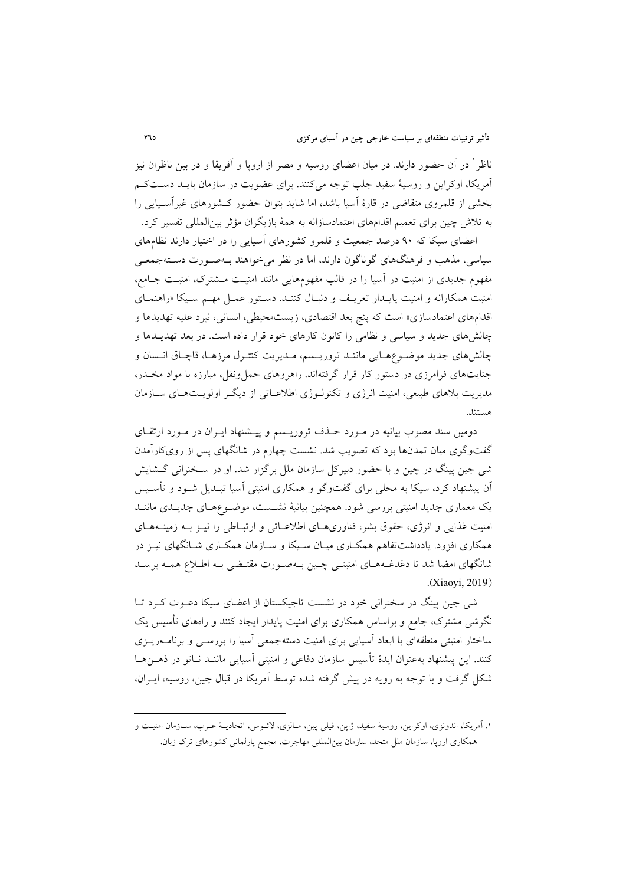در آن حضور دارند. در ميان اعضاي روسيه و مصر از اروپا و آفريقا و در بين ناظران نيز <sup>1</sup> ناظر آمريكا، اوكراين و روسية سفيد جلب توجه ميكنند. براي عضويت در سازمان بايـد دسـتكـم بخشي از قلمروي متقاضي در قارة آسيا باشد، اما شايد بتوان حضور كـشورهاي غيرآسـيايي را به تلاش چين براي تعميم اقدامهاي اعتمادسازانه به همة بازيگران مؤثر بينالمللي تفسير كرد.

اعضاي سيكا كه 90 درصد جمعيت و قلمرو كشورهاي آسيايي را در اختيار دارند نظامهاي سياسي، مذهب و فرهنگهاي گوناگون دارند، اما در نظر ميخواهند بـهصـورت دسـتهجمعـي مفهوم جديدي از امنيت در آسيا را در قالب مفهومهايي مانند امنيـت مـشترك، امنيـت جـامع، امنيت همكارانه و امنيت پايـدار تعريـف و دنبـال كننـد. دسـتور عمـل مهـم سـيكا «راهنمـاي اقدامهاي اعتمادسازي» است كه پنج بعد اقتصادي، زيستمحيطي، انساني، نبرد عليه تهديدها و چالشهاي جديد و سياسي و نظامي را كانون كارهاي خود قرار داده است. در بعد تهديـدها و چالشهاي جديد موضـوعهـايي ماننـد تروريـسم، مـديريت كنتـرل مرزهـا، قاچـاق انـسان و جنايتهاي فرامرزي در دستور كار قرار گرفتهاند. راهروهاي حملونقل، مبارزه با مواد مخـدر، مديريت بلاهاي طبيعي، امنيت انرژي و تكنولـوژي اطلاعـاتي از ديگـر اولويـتهـاي سـازمان هستند.

دومين سند مصوب بيانيه در مـورد حـذف تروريـسم و پيـشنهاد ايـران در مـورد ارتقـاي گفتوگوي ميان تمدنها بود كه تصويب شد. نشست چهارم در شانگهاي پس از رويكارآمدن شي جين پينگ در چين و با حضور دبيركل سازمان ملل برگزار شد. او در سـخنراني گـشايش آن پيشنهاد كرد، سيكا به محلي براي گفتوگو و همكاري امنيتي آسيا تبـديل شـود و تأسـيس يك معماري جديد امنيتي بررسي شود. همچنين بيانية نشـست، موضـوعهـاي جديـدي ماننـد امنيت غذايي و انرژي، حقوق بشر، فناوريهـاي اطلاعـاتي و ارتبـاطي را نيـز بـه زمينـههـاي همكاري افزود. يادداشتتفاهم همكـاري ميـان سـيكا و سـازمان همكـاري شـانگهاي نيـز در شانگهاي امضا شد تا دغدغـههـاي امنيتـي چـين بـهصـورت مقتـضي بـه اطـلاع همـه برسـد .(Xiaoyi, 2019)

شي جين پينگ در سخنراني خود در نشست تاجيكستان از اعضاي سيكا دعـوت كـرد تـا نگرشي مشترك، جامع و براساس همكاري براي امنيت پايدار ايجاد كنند و راههاي تأسيس يك ساختار امنيتي منطقهاي با ابعاد آسيايي براي امنيت دستهجمعي آسيا را بررسـي و برنامـهريـزي كنند. اين پيشنهاد بهعنوان ايدة تأسيس سازمان دفاعي و امنيتي آسيايي ماننـد نـاتو در ذهـنهـا شكل گرفت و با توجه به رويه در پيش گرفته شده توسط آمريكا در قبال چين، روسيه، ايـران،

<sup>.</sup>1 آمريكا، اندونزي، اوكراين، روسية سفيد، ژاپن، فيلي پين، مـالزي، لائـوس، اتحاديـة عـرب، سـازمان امنيـت و همكاري اروپا، سازمان ملل متحد، سازمان بينالمللي مهاجرت، مجمع پارلماني كشورهاي ترك زبان.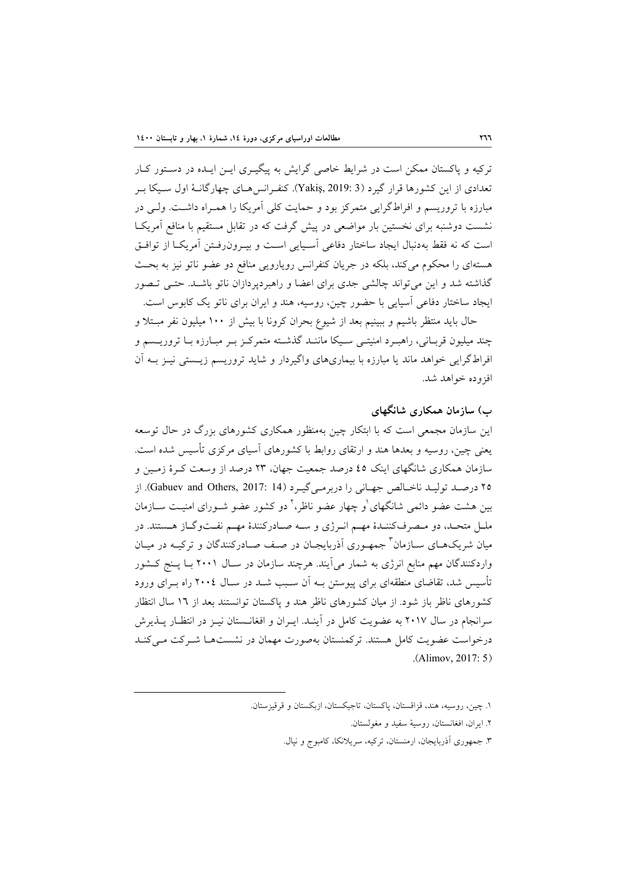تركيه و پاكستان ممكن است در شرايط خاصي گرايش به پيگيـري ايـن ايـده در دسـتور كـار تعدادي از اين كشورها قرار گيرد (3 2019: ,Yakiş(. كنفـرانسهـاي چهارگانـة اول سـيكا بـر مبارزه با تروريسم و افراطگرايي متمركز بود و حمايت كلي آمريكا را همـراه داشـت. ولـي در نشست دوشنبه براي نخستين بار مواضعي در پيش گرفت كه در تقابل مستقيم با منافع آمريكـا است كه نه فقط بهدنبال ايجاد ساختار دفاعي آسـيايي اسـت و بيـرونرفـتن آمريكـا از توافـق هستهاي را محكوم ميكند، بلكه در جريان كنفرانس رويارويي منافع دو عضو ناتو نيز به بحـث گذاشته شد و اين ميتواند چالشي جدي براي اعضا و راهبردپردازان ناتو باشـد. حتـي تـصور ايجاد ساختار دفاعي آسيايي با حضور چين، روسيه، هند و ايران براي ناتو يك كابوس است.

حال بايد منتظر باشيم و ببينيم بعد از شيوع بحران كرونا با بيش از 100 ميليون نفر مبـتلا و چند ميليون قربـاني، راهبـرد امنيتـي سـيكا ماننـد گذشـته متمركـز بـر مبـارزه بـا تروريـسم و افراطگرايي خواهد ماند يا مبارزه با بيماريهاي واگيردار و شايد تروريسم زيـستي نيـز بـه آن افزوده خواهد شد.

### **ب) سازمان همكاري شانگهاي**

اين سازمان مجمعي است كه با ابتكار چين بهمنظور همكاري كشورهاي بزرگ در حال توسعه يعني چين، روسيه و بعدها هند و ارتقاي روابط با كشورهاي آسياي مركزي تأسيس شده است. سازمان همكاري شانگهاي اينك 45 درصد جمعيت جهان، 23 درصد از وسعت كـرة زمـين و ٢٥ درصـد توليـد ناخـالص جهـاني را دربرمـي گيـرد (14 :Gabuev and Others, 2017). از بين هشت عضو دائمي شانگهاي <sup>ا</sup>و چهار عضو ناظر، <sup>٢</sup> دو كشور عضو شــوراي امنيــت ســازمان ملـل متحـد، دو مـصرفكننـدة مهـم انـرژي و سـه صـادركنندة مهـم نفـتوگـاز هـستند. در ميان شريکـهــاي ســازمان ٌ جمهــوري آذربايجــان در صـف صــادرکنندگان و ترکيــه در ميــان واردكنندگان مهم منابع انرژي به شمار ميآيند. هرچند سازمان در سـال 2001 بـا پـنج كـشور تأسيس شد، تقاضاي منطقهاي براي پيوستن بـه آن سـبب شـد در سـال 2004 راه بـراي ورود كشورهاي ناظر باز شود. از ميان كشورهاي ناظر هند و پاكستان توانستند بعد از 16 سال انتظار سرانجام در سال 2017 به عضويت كامل در آينـد. ايـران و افغانـستان نيـز در انتظـار پـذيرش درخواست عضويت كامل هستند. تركمنستان بهصورت مهمان در نشستهـا شـركت مـيكنـد .(Alimov, 2017: 5)

<sup>.</sup>1 چين، روسيه، هند، قزاقستان، پاكستان، تاجيكستان، ازبكستان و قرقيزستان.

<sup>.</sup>2 ايران، افغانستان، روسية سفيد و مغولستان.

<sup>.</sup>3 جمهوري آذربايجان، ارمنستان، تركيه، سريلانكا، كامبوج و نپال.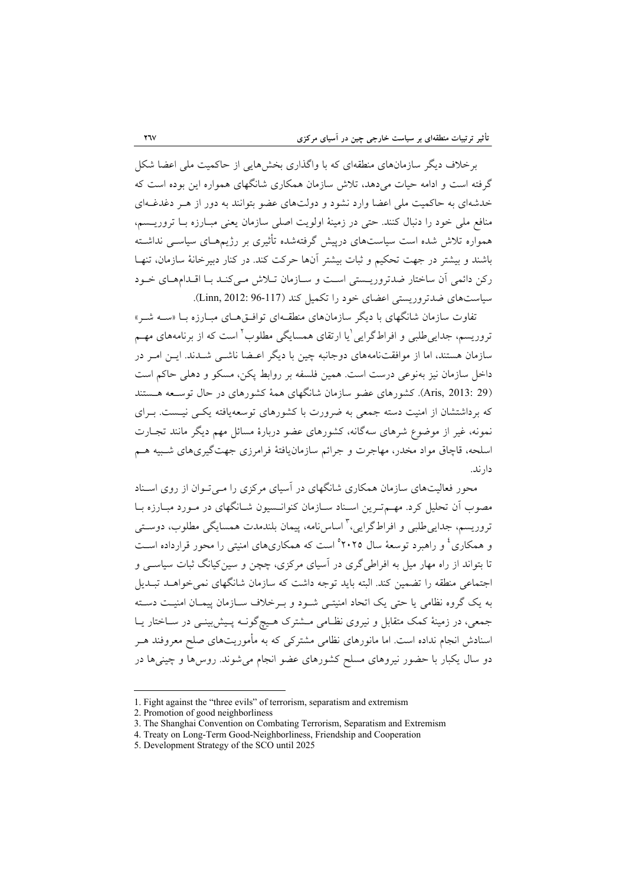برخلاف ديگر سازمانهاي منطقهاي كه با واگذاري بخشهايي از حاكميت ملي اعضا شكل گرفته است و ادامه حيات ميدهد، تلاش سازمان همكاري شانگهاي همواره اين بوده است كه خدشهاي به حاكميت ملي اعضا وارد نشود و دولتهاي عضو بتوانند به دور از هـر دغدغـهاي منافع ملي خود را دنبال كنند. حتي در زمينة اولويت اصلي سازمان يعني مبـارزه بـا تروريـسم، همواره تلاش شده است سياستهاي درپيش گرفتهشده تأثيري بر رژيمهـاي سياسـي نداشـته باشند و بيشتر در جهت تحكيم و ثبات بيشتر آنها حركت كند. در كنار دبيرخانة سازمان، تنهـا ركن دائمي آن ساختار ضدتروريـستي اسـت و سـازمان تـلاش مـيكنـد بـا اقـدامهـاي خـود سياستهاي ضدتروريستي اعضاي خود را تكميل كند (96-117 2012: ,Linn(.

تفاوت سازمان شانگهاي با ديگر سازمانهاي منطقـهاي توافـقهـاي مبـارزه بـا «سـه شـر» تروريسم، جدايي طلبي و افراطگرايي <sup>ا</sup>يا ارتقاي همسايگي مطلوب <sup>٢</sup> است كه از برنامههاي مهــم سازمان هستند، اما از موافقتنامههاي دوجانبه چين با ديگر اعـضا ناشـي شـدند. ايـن امـر در داخل سازمان نيز بهنوعي درست است. همين فلسفه بر روابط پكن، مسكو و دهلي حاكم است (29 2013: ,Aris(. كشورهاي عضو سازمان شانگهاي همة كشورهاي در حال توسـعه هـستند كه برداشتشان از امنيت دسته جمعي به ضرورت با كشورهاي توسعهيافته يكـي نيـست. بـراي نمونه، غير از موضوع شرهاي سهگانه، كشورهاي عضو دربارة مسائل مهم ديگر مانند تجـارت اسلحه، قاچاق مواد مخدر، مهاجرت و جرائم سازمانيافتة فرامرزي جهتگيريهاي شـبيه هـم دارند.

محور فعاليتهاي سازمان همكاري شانگهاي در آسياي مركزي را مـيتـوان از روي اسـناد مصوب آن تحليل كرد. مهـمتـرين اسـناد سـازمان كنوانـسيون شـانگهاي در مـورد مبـارزه بـا تروريسم، جداييeطلبي و افراطگرايي،<sup>۳</sup> اساسiامه، پيمان بلندمدت همسايگي مطلوب، دوسـتي و همکاری<sup>، و</sup> راهبرد توسعهٔ سال ۲۰۲۵° است که همکاریهای امنیتی را محور قرارداده اسـت تا بتواند از راه مهار ميل به افراطيگري در آسياي مركزي، چچن و سينكيانگ ثبات سياسـي و اجتماعي منطقه را تضمين كند. البته بايد توجه داشت كه سازمان شانگهاي نميخواهـد تبـديل به يك گروه نظامي يا حتي يك اتحاد امنيتـي شـود و بـرخلاف سـازمان پيمـان امنيـت دسـته جمعي، در زمينة كمك متقابل و نيروي نظـامي مـشترك هـيچگونـه پـيشبينـي در سـاختار يـا اسنادش انجام نداده است. اما مانورهاي نظامي مشتركي كه به مأموريتهاي صلح معروفند هـر دو سال يكبار با حضور نيروهاي مسلح كشورهاي عضو انجام ميشوند. روسها و چينيها در

<sup>1.</sup> Fight against the "three evils" of terrorism, separatism and extremism

<sup>2.</sup> Promotion of good neighborliness

<sup>3.</sup> The Shanghai Convention on Combating Terrorism, Separatism and Extremism

<sup>4.</sup> Treaty on Long-Term Good-Neighborliness, Friendship and Cooperation

<sup>5.</sup> Development Strategy of the SCO until 2025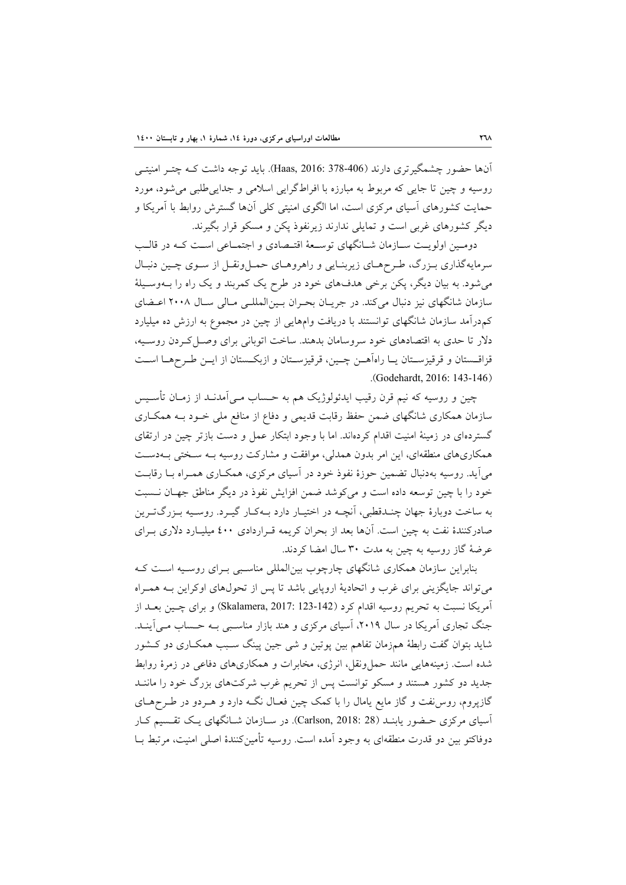آنها حضور چشمگيرتري دارند (378-406 2016: ,Haas(. بايد توجه داشت كـه چتـر امنيتـي روسيه و چين تا جايي كه مربوط به مبارزه با افراطگرايي اسلامي و جداييطلبي ميشود، مورد حمايت كشورهاي آسياي مركزي است، اما الگوي امنيتي كلي آنها گسترش روابط با آمريكا و ديگر كشورهاي غربي است و تمايلي ندارند زيرنفوذ پكن و مسكو قرار بگيرند.

دومـين اولويـت سـازمان شـانگهاي توسـعة اقتـصادي و اجتمـاعي اسـت كـه در قالـب سرمايهگذاري بـزرگ، طـرحهـاي زيربنـايي و راهروهـاي حمـلونقـل از سـوي چـين دنبـال ميشود. به بيان ديگر، پكن برخي هدفهاي خود در طرح يك كمربند و يك راه را بـهوسـيلة سازمان شانگهاي نيز دنبال ميكند. در جريـان بحـران بـينالمللـي مـالي سـال 2008 اعـضاي كمدرآمد سازمان شانگهاي توانستند با دريافت وامهايي از چين در مجموع به ارزش ده ميليارد دلار تا حدي به اقتصادهاي خود سروسامان بدهند. ساخت اتوباني براي وصـلكـردن روسـيه، قزاقـستان و قرقيزسـتان يـا راهآهـن چـين، قرقيزسـتان و ازبكـستان از ايـن طـرحهـا اسـت .(Godehardt, 2016: 143-146)

چين و روسيه كه نيم قرن رقيب ايدئولوژيك هم به حـساب مـيآمدنـد از زمـان تأسـيس سازمان همكاري شانگهاي ضمن حفظ رقابت قديمي و دفاع از منافع ملي خـود بـه همكـاري گستردهاي در زمينة امنيت اقدام كردهاند. اما با وجود ابتكار عمل و دست بازتر چين در ارتقاي همكاريهاي منطقهاي، اين امر بدون همدلي، موافقت و مشاركت روسيه بـه سـختي بـهدسـت ميآيد. روسيه بهدنبال تضمين حوزة نفوذ خود در آسياي مركزي، همكـاري همـراه بـا رقابـت خود را با چين توسعه داده است و ميكوشد ضمن افزايش نفوذ در ديگر مناطق جهـان نـسبت به ساخت دوبارة جهان چنـدقطبي، آنچـه در اختيـار دارد بـهكـار گيـرد. روسـيه بـزرگتـرين صادركنندة نفت به چين است. آنها بعد از بحران كريمه قـراردادي 400 ميليـارد دلاري بـراي عرضة گاز روسيه به چين به مدت 30 سال امضا كردند.

بنابراين سازمان همكاري شانگهاي چارچوب بينالمللي مناسـبي بـراي روسـيه اسـت كـه ميتواند جايگزيني براي غرب و اتحادية اروپايي باشد تا پس از تحولهاي اوكراين بـه همـراه آمريكا نسبت به تحريم روسيه اقدام كرد (123-142 2017: ,Skalamera (و براي چـين بعـد از جنگ تجاري آمريكا در سال ٢٠١٩، آسياي مركزي و هند بازار مناسـبي بـه حـساب مـيآينـد. شايد بتوان گفت رابطة همزمان تفاهم بين پوتين و شي جين پينگ سـبب همكـاري دو كـشور شده است. زمينههايي مانند حملونقل، انرژي، مخابرات و همكاريهاي دفاعي در زمرة روابط جديد دو كشور هستند و مسكو توانست پس از تحريم غرب شركتهاي بزرگ خود را ماننـد گازپروم، روسنفت و گاز مايع يامال را با كمك چين فعـال نگـه دارد و هـردو در طـرحهـاي آسياي مركزي حـضور يابنـد (28 2018: ,Carlson(. در سـازمان شـانگهاي يـك تقـسيم كـار دوفاكتو بين دو قدرت منطقهاي به وجود آمده است. روسيه تأمينكنندة اصلي امنيت، مرتبط بـا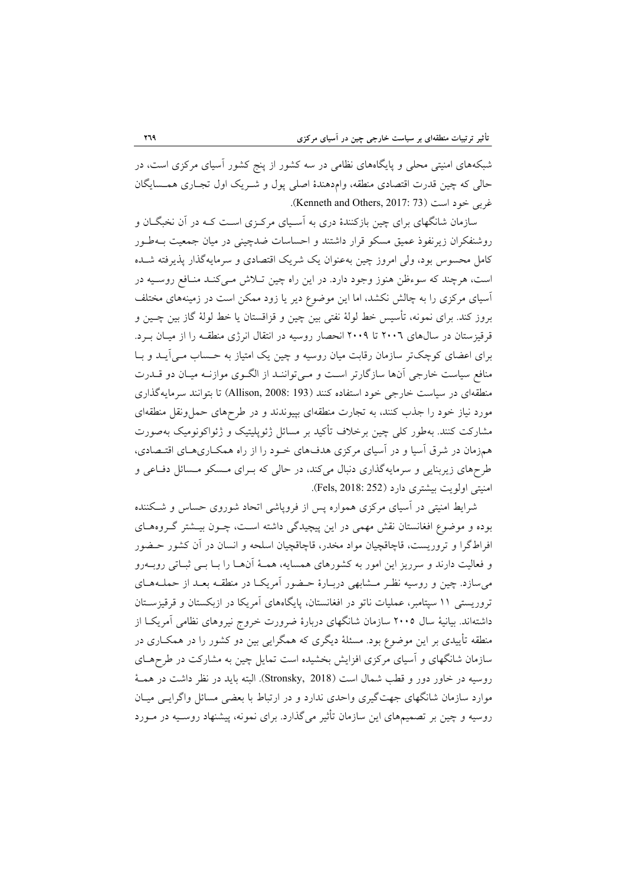شبكههاي امنيتي محلي و پايگاههاي نظامي در سه كشور از پنج كشور آسياي مركزي است، در حالي كه چين قدرت اقتصادي منطقه، وامدهندة اصلي پول و شـريك اول تجـاري همـسايگان غربي خود است (Kenneth and Others, 2017: 73).

سازمان شانگهاي براي چين بازكنندة دري به آسـياي مركـزي اسـت كـه در آن نخبگـان و روشنفكران زيرنفوذ عميق مسكو قرار داشتند و احساسات ضدچيني در ميان جمعيت بـهطـور كامل محسوس بود، ولي امروز چين بهعنوان يك شريك اقتصادي و سرمايهگذار پذيرفته شـده است، هرچند كه سوءظن هنوز وجود دارد. در اين راه چين تـلاش مـيكنـد منـافع روسـيه در آسياي مركزي را به چالش نكشد، اما اين موضوع دير يا زود ممكن است در زمينههاي مختلف بروز كند. براي نمونه، تأسيس خط لولة نفتي بين چين و قزاقستان يا خط لولة گاز بين چـين و قرقيزستان در سالهاي 2006 تا 2009 انحصار روسيه در انتقال انرژي منطقـه را از ميـان بـرد. براي اعضاي كوچكتر سازمان رقابت ميان روسيه و چين يك امتياز به حـساب مـيآيـد و بـا منافع سياست خارجي آنها سازگارتر اسـت و مـيتواننـد از الگـوي موازنـه ميـان دو قـدرت منطقهاي در سياست خارجي خود استفاده كنند (193 2008: ,Allison (تا بتوانند سرمايهگذاري مورد نياز خود را جذب كنند، به تجارت منطقهاي بپيوندند و در طرحهاي حملونقل منطقهاي مشاركت كنند. بهطور كلي چين برخلاف تأكيد بر مسائل ژئوپليتيك و ژئواكونوميك بهصورت همزمان در شرق آسيا و در آسياي مركزي هدفهاي خـود را از راه همكـاريهـاي اقتـصادي، طرحهاي زيربنايي و سرمايهگذاري دنبال ميكند، در حالي كه بـراي مـسكو مـسائل دفـاعي و امنيتي اولويت بيشتري دارد (252 2018: ,Fels(.

شرايط امنيتي در آسياي مركزي همواره پس از فروپاشي اتحاد شوروي حساس و شـكننده بوده و موضوع افغانستان نقش مهمي در اين پيچيدگي داشته اسـت، چـون بيـشتر گـروههـاي افراطگرا و تروريست، قاچاقچيان مواد مخدر، قاچاقچيان اسلحه و انسان در آن كشور حـضور و فعاليت دارند و سرريز اين امور به كشورهاي همسايه، همـة آنهـا را بـا بـي ثبـاتي روبـهرو ميسازد. چين و روسيه نظـر مـشابهي دربـارة حـضور آمريكـا در منطقـه بعـد از حملـههـاي تروريستي 11 سپتامبر، عمليات ناتو در افغانستان، پايگاههاي آمريكا در ازبكستان و قرقيزسـتان داشتهاند. بيانية سال 2005 سازمان شانگهاي دربارة ضرورت خروج نيروهاي نظامي آمريكـا از منطقه تأييدي بر اين موضوع بود. مسئلة ديگري كه همگرايي بين دو كشور را در همكـاري در سازمان شانگهاي و آسياي مركزي افزايش بخشيده است تمايل چين به مشاركت در طرحهـاي روسيه در خاور دور و قطب شمال است (2018 ,Stronsky(. البته بايد در نظر داشت در همـة موارد سازمان شانگهاي جهتگيري واحدي ندارد و در ارتباط با بعضي مسائل واگرايـي ميـان روسيه و چين بر تصميمهاي اين سازمان تأثير ميگذارد. براي نمونه، پيشنهاد روسـيه در مـورد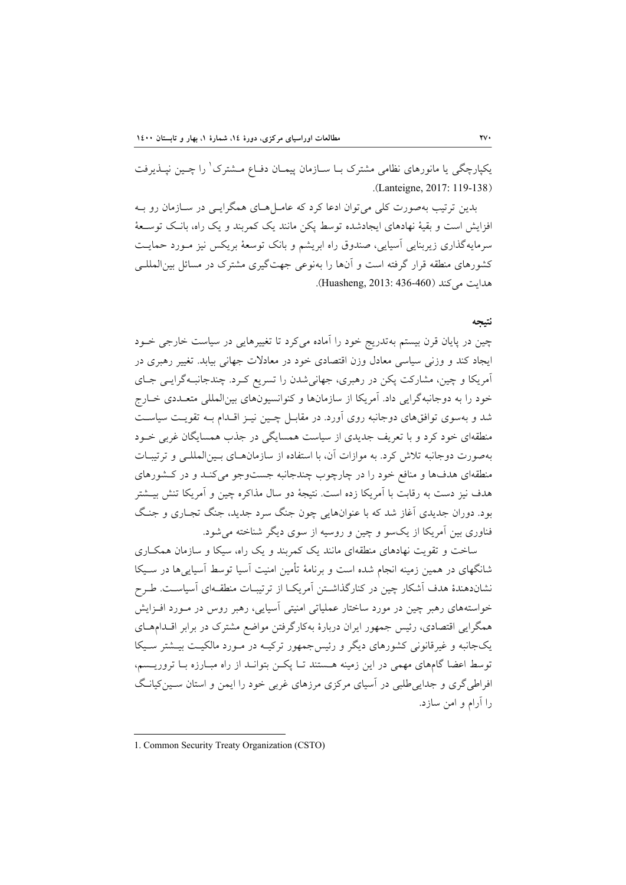يكپارچگي يا مانورهاي نظامي مشترک بــا ســازمان پيمــان دفــاع مــشترک ٰ را چــين نپــذيرفت .(Lanteigne, 2017: 119-138)

بدين ترتيب بهصورت كلي ميتوان ادعا كرد كه عامـلهـاي همگرايـي در سـازمان رو بـه افزايش است و بقية نهادهاي ايجادشده توسط پكن مانند يك كمربند و يك راه، بانـك توسـعة سرمايهگذاري زيربنايي آسيايي، صندوق راه ابريشم و بانك توسعة بريكس نيز مـورد حمايـت كشورهاي منطقه قرار گرفته است و آنها را بهنوعي جهتگيري مشترك در مسائل بينالمللـي هدايت ميكند (436-460 2013: ,Huasheng(.

#### **نتيجه**

چين در پايان قرن بيستم بهتدريج خود را آماده ميكرد تا تغييرهايي در سياست خارجي خـود ايجاد كند و وزني سياسي معادل وزن اقتصادي خود در معادلات جهاني بيابد. تغيير رهبري در آمريكا و چين، مشاركت پكن در رهبري، جهانيشدن را تسريع كـرد. چندجانبـهگرايـي جـاي خود را به دوجانبهگرايي داد. آمريكا از سازمانها و كنوانسيونهاي بينالمللي متعـددي خـارج شد و بهسوي توافقهاي دوجانبه روي آورد. در مقابـل چـين نيـز اقـدام بـه تقويـت سياسـت منطقهاي خود كرد و با تعريف جديدي از سياست همسايگي در جذب همسايگان غربي خـود بهصورت دوجانبه تلاش كرد. به موازات آن، با استفاده از سازمانهـاي بـينالمللـي و ترتيبـات منطقهاي هدفها و منافع خود را در چارچوب چندجانبه جستوجو ميكنـد و در كـشورهاي هدف نيز دست به رقابت با آمريكا زده است. نتيجة دو سال مذاكره چين و آمريكا تنش بيـشتر بود. دوران جديدي آغاز شد كه با عنوانهايي چون جنگ سرد جديد، جنگ تجـاري و جنـگ فناوري بين آمريكا از يكسو و چين و روسيه از سوي ديگر شناخته ميشود.

ساخت و تقويت نهادهاي منطقهاي مانند يك كمربند و يك راه، سيكا و سازمان همكـاري شانگهاي در همين زمينه انجام شده است و برنامة تأمين امنيت آسيا توسط آسياييها در سـيكا نشاندهندة هدف آشكار چين در كنارگذاشـتن آمريكـا از ترتيبـات منطقـهاي آسياسـت. طـرح خواستههاي رهبر چين در مورد ساختار عملياتي امنيتي آسيايي، رهبر روس در مـورد افـزايش همگرايي اقتصادي، رئيس جمهور ايران دربارة بهكارگرفتن مواضع مشترك در برابر اقـدامهـاي يكجانبه و غيرقانوني كشورهاي ديگر و رئيسجمهور تركيـه در مـورد مالكيـت بيـشتر سـيكا توسط اعضا گامهاي مهمي در اين زمينه هـستند تـا پكـن بتوانـد از راه مبـارزه بـا تروريـسم، افراطي گري و جدايي طلبي در آسياي مركزي مرزهاي غربي خود را ايمن و استان سـين كيانـگ را آرام و امن سازد.

<sup>1.</sup> Common Security Treaty Organization (CSTO)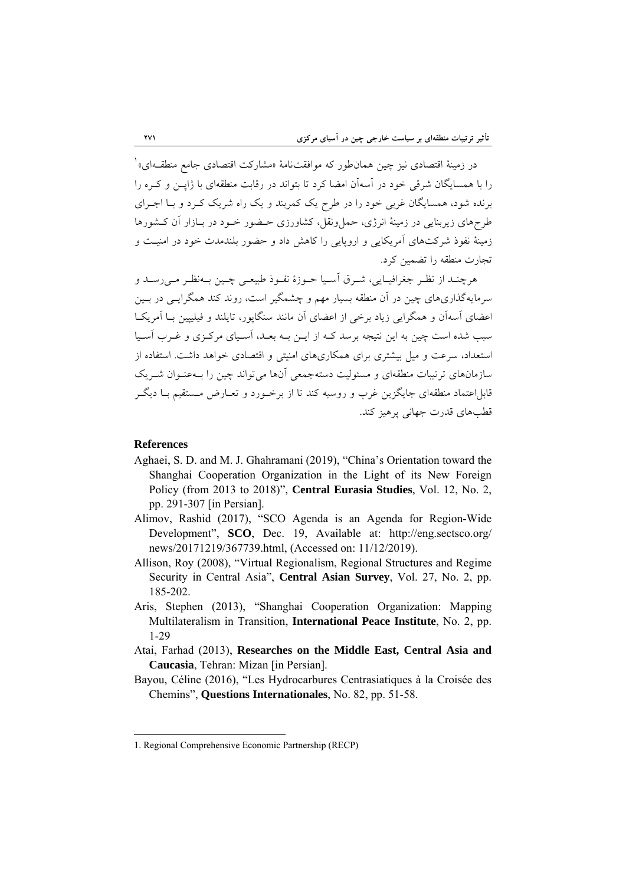1 در زمينة اقتصادي نيز چين همانطور كه موافقتنامة «مشاركت اقتصادي جامع منطقـهاي» را با همسايگان شرقي خود در آسهآن امضا كرد تا بتواند در رقابت منطقهاي با ژاپـن و كـره را برنده شود، همسايگان غربي خود را در طرح يك كمربند و يك راه شريك كـرد و بـا اجـراي طرحهاي زيربنايي در زمينة انرژي، حملونقل، كشاورزي حـضور خـود در بـازار آن كـشورها زمينة نفوذ شركتهاي آمريكايي و اروپايي را كاهش داد و حضور بلندمدت خود در امنيـت و تجارت منطقه را تضمين كرد.

هرچنـد از نظـر جغرافيـايي، شـرق آسـيا حـوزة نفـوذ طبيعـي چـين بـهنظـر مـيرسـد و سرمايهگذاريهاي چين در آن منطقه بسيار مهم و چشمگير است، روند كند همگرايـي در بـين اعضاي آسهآن و همگرايي زياد برخي از اعضاي آن مانند سنگاپور، تايلند و فيليپين بـا آمريكـا سبب شده است چين به اين نتيجه برسد كـه از ايـن بـه بعـد، آسـياي مركـزي و غـرب آسـيا استعداد، سرعت و ميل بيشتري براي همكاريهاي امنيتي و اقتصادي خواهد داشت. استفاده از سازمانهاي ترتيبات منطقهاي و مسئوليت دستهجمعي آنها ميتواند چين را بـهعنـوان شـريك قابلاعتماد منطقهاي جايگزين غرب و روسيه كند تا از برخـورد و تعـارض مـستقيم بـا ديگـر قطبهاي قدرت جهاني پرهيز كند.

#### **References**

- Aghaei, S. D. and M. J. Ghahramani (2019), "China's Orientation toward the Shanghai Cooperation Organization in the Light of its New Foreign Policy (from 2013 to 2018)", **Central Eurasia Studies**, Vol. 12, No. 2, pp. 291-307 [in Persian].
- Alimov, Rashid (2017), "SCO Agenda is an Agenda for Region-Wide Development", **SCO**, Dec. 19, Available at: http://eng.sectsco.org/ news/20171219/367739.html, (Accessed on: 11/12/2019).
- Allison, Roy (2008), "Virtual Regionalism, Regional Structures and Regime Security in Central Asia", **Central Asian Survey**, Vol. 27, No. 2, pp. 185-202.
- Aris, Stephen (2013), "Shanghai Cooperation Organization: Mapping Multilateralism in Transition, **International Peace Institute**, No. 2, pp. 1-29
- Atai, Farhad (2013), **Researches on the Middle East, Central Asia and Caucasia**, Tehran: Mizan [in Persian].
- Bayou, Céline (2016), "Les Hydrocarbures Centrasiatiques à la Croisée des Chemins", **Questions Internationales**, No. 82, pp. 51-58.

<sup>1.</sup> Regional Comprehensive Economic Partnership (RECP)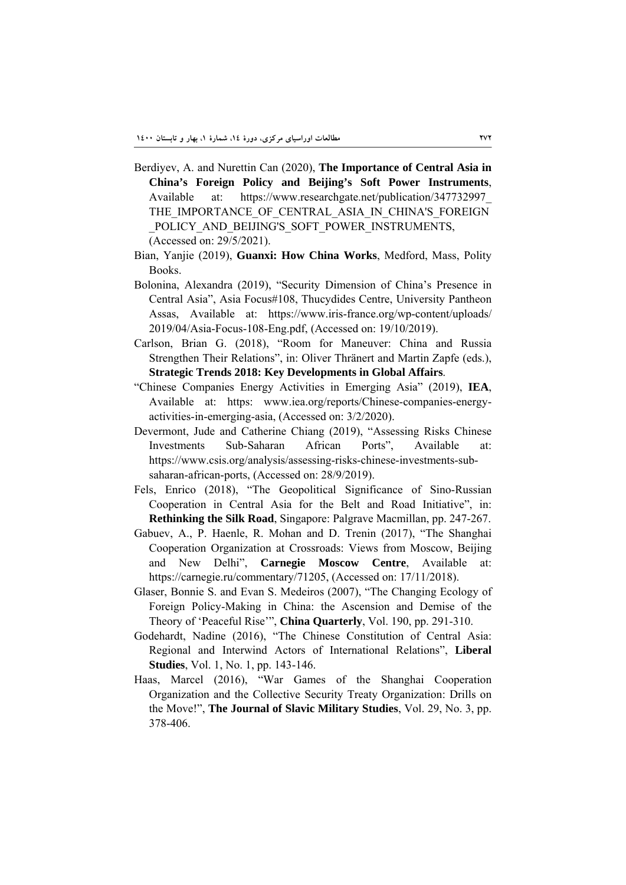- Berdiyev, A. and Nurettin Can (2020), **The Importance of Central Asia in China's Foreign Policy and Beijing's Soft Power Instruments**, Available at: https://www.researchgate.net/publication/347732997\_ THE\_IMPORTANCE\_OF\_CENTRAL\_ASIA\_IN\_CHINA'S\_FOREIGN POLICY AND BEIJING'S SOFT POWER INSTRUMENTS, (Accessed on: 29/5/2021).
- Bian, Yanjie (2019), **Guanxi: How China Works**, Medford, Mass, Polity Books.
- Bolonina, Alexandra (2019), "Security Dimension of China's Presence in Central Asia", Asia Focus#108, Thucydides Centre, University Pantheon Assas, Available at: https://www.iris-france.org/wp-content/uploads/ 2019/04/Asia-Focus-108-Eng.pdf, (Accessed on: 19/10/2019).
- Carlson, Brian G. (2018), "Room for Maneuver: China and Russia Strengthen Their Relations", in: Oliver Thränert and Martin Zapfe (eds.), **Strategic Trends 2018: Key Developments in Global Affairs**.
- "Chinese Companies Energy Activities in Emerging Asia" (2019), **IEA**, Available at: https: www.iea.org/reports/Chinese-companies-energyactivities-in-emerging-asia, (Accessed on: 3/2/2020).
- Devermont, Jude and Catherine Chiang (2019), "Assessing Risks Chinese Investments Sub-Saharan African Ports", Available at: https://www.csis.org/analysis/assessing-risks-chinese-investments-subsaharan-african-ports, (Accessed on: 28/9/2019).
- Fels, Enrico (2018), "The Geopolitical Significance of Sino-Russian Cooperation in Central Asia for the Belt and Road Initiative", in: **Rethinking the Silk Road**, Singapore: Palgrave Macmillan, pp. 247-267.
- Gabuev, A., P. Haenle, R. Mohan and D. Trenin (2017), "The Shanghai Cooperation Organization at Crossroads: Views from Moscow, Beijing and New Delhi", **Carnegie Moscow Centre**, Available at: https://carnegie.ru/commentary/71205, (Accessed on: 17/11/2018).
- Glaser, Bonnie S. and Evan S. Medeiros (2007), "The Changing Ecology of Foreign Policy-Making in China: the Ascension and Demise of the Theory of 'Peaceful Rise'", **China Quarterly**, Vol. 190, pp. 291-310.
- Godehardt, Nadine (2016), "The Chinese Constitution of Central Asia: Regional and Interwind Actors of International Relations", **Liberal Studies**, Vol. 1, No. 1, pp. 143-146.
- Haas, Marcel (2016), "War Games of the Shanghai Cooperation Organization and the Collective Security Treaty Organization: Drills on the Move!", **The Journal of Slavic Military Studies**, Vol. 29, No. 3, pp. 378-406.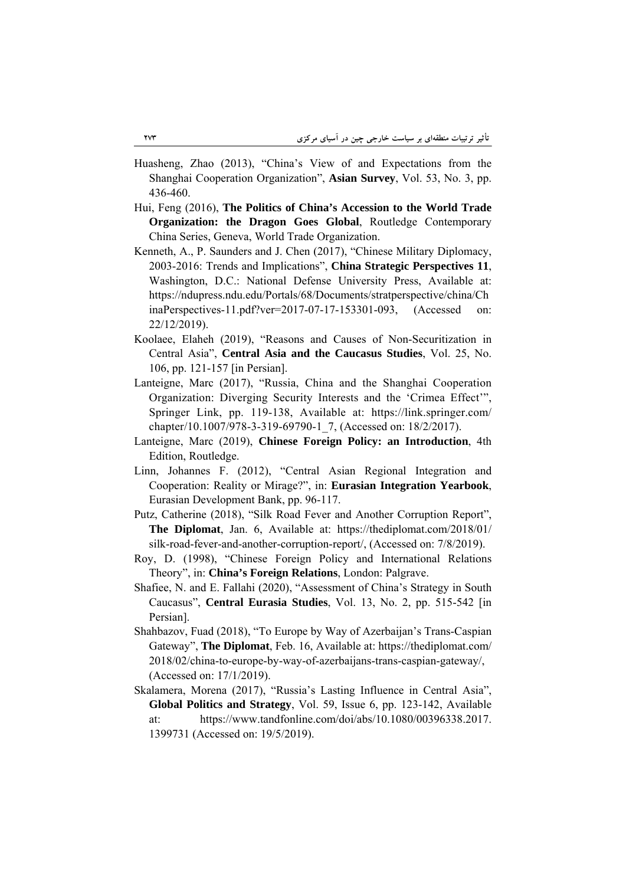- Huasheng, Zhao (2013), "China's View of and Expectations from the Shanghai Cooperation Organization", **Asian Survey**, Vol. 53, No. 3, pp. 436-460.
- Hui, Feng (2016), **The Politics of China's Accession to the World Trade Organization: the Dragon Goes Global**, Routledge Contemporary China Series, Geneva, World Trade Organization.
- Kenneth, A., P. Saunders and J. Chen (2017), "Chinese Military Diplomacy, 2003-2016: Trends and Implications", **China Strategic Perspectives 11**, Washington, D.C.: National Defense University Press, Available at: https://ndupress.ndu.edu/Portals/68/Documents/stratperspective/china/Ch inaPerspectives-11.pdf?ver=2017-07-17-153301-093, (Accessed on: 22/12/2019).
- Koolaee, Elaheh (2019), "Reasons and Causes of Non-Securitization in Central Asia", **Central Asia and the Caucasus Studies**, Vol. 25, No. 106, pp. 121-157 [in Persian].
- Lanteigne, Marc (2017), "Russia, China and the Shanghai Cooperation Organization: Diverging Security Interests and the 'Crimea Effect'", Springer Link, pp. 119-138, Available at: https://link.springer.com/ chapter/10.1007/978-3-319-69790-1\_7, (Accessed on: 18/2/2017).
- Lanteigne, Marc (2019), **Chinese Foreign Policy: an Introduction**, 4th Edition, Routledge.
- Linn, Johannes F. (2012), "Central Asian Regional Integration and Cooperation: Reality or Mirage?", in: **Eurasian Integration Yearbook**, Eurasian Development Bank, pp. 96-117.
- Putz, Catherine (2018), "Silk Road Fever and Another Corruption Report", **The Diplomat**, Jan. 6, Available at: https://thediplomat.com/2018/01/ silk-road-fever-and-another-corruption-report/, (Accessed on: 7/8/2019).
- Roy, D. (1998), "Chinese Foreign Policy and International Relations Theory", in: **China's Foreign Relations**, London: Palgrave.
- Shafiee, N. and E. Fallahi (2020), "Assessment of China's Strategy in South Caucasus", **Central Eurasia Studies**, Vol. 13, No. 2, pp. 515-542 [in Persian].
- Shahbazov, Fuad (2018), "To Europe by Way of Azerbaijan's Trans-Caspian Gateway", **The Diplomat**, Feb. 16, Available at: https://thediplomat.com/ 2018/02/china-to-europe-by-way-of-azerbaijans-trans-caspian-gateway/, (Accessed on: 17/1/2019).
- Skalamera, Morena (2017), "Russia's Lasting Influence in Central Asia", **Global Politics and Strategy**, Vol. 59, Issue 6, pp. 123-142, Available at: https://www.tandfonline.com/doi/abs/10.1080/00396338.2017. 1399731 (Accessed on: 19/5/2019).